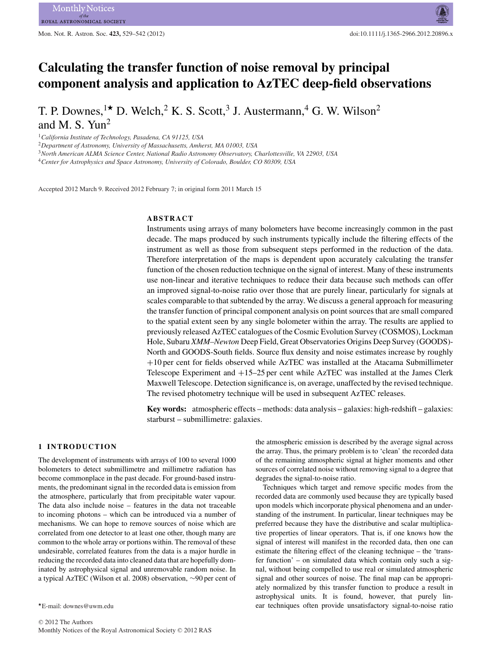# **Calculating the transfer function of noise removal by principal component analysis and application to AzTEC deep-field observations**

T. P. Downes,  $1\star$  D. Welch,  $2$  K. S. Scott,  $3$  J. Austermann,  $4$  G. W. Wilson  $2$ and M. S.  $Y_{\text{III}}^2$ 

<sup>1</sup>*California Institute of Technology, Pasadena, CA 91125, USA*

<sup>2</sup>*Department of Astronomy, University of Massachusetts, Amherst, MA 01003, USA*

<sup>3</sup>*North American ALMA Science Center, National Radio Astronomy Observatory, Charlottesville, VA 22903, USA*

<sup>4</sup>*Center for Astrophysics and Space Astronomy, University of Colorado, Boulder, CO 80309, USA*

Accepted 2012 March 9. Received 2012 February 7; in original form 2011 March 15

## **ABSTRACT**

Instruments using arrays of many bolometers have become increasingly common in the past decade. The maps produced by such instruments typically include the filtering effects of the instrument as well as those from subsequent steps performed in the reduction of the data. Therefore interpretation of the maps is dependent upon accurately calculating the transfer function of the chosen reduction technique on the signal of interest. Many of these instruments use non-linear and iterative techniques to reduce their data because such methods can offer an improved signal-to-noise ratio over those that are purely linear, particularly for signals at scales comparable to that subtended by the array. We discuss a general approach for measuring the transfer function of principal component analysis on point sources that are small compared to the spatial extent seen by any single bolometer within the array. The results are applied to previously released AzTEC catalogues of the Cosmic Evolution Survey (COSMOS), Lockman Hole, Subaru *XMM–Newton* Deep Field, Great Observatories Origins Deep Survey (GOODS)- North and GOODS-South fields. Source flux density and noise estimates increase by roughly +10 per cent for fields observed while AzTEC was installed at the Atacama Submillimeter Telescope Experiment and +15–25 per cent while AzTEC was installed at the James Clerk Maxwell Telescope. Detection significance is, on average, unaffected by the revised technique. The revised photometry technique will be used in subsequent AzTEC releases.

**Key words:** atmospheric effects – methods: data analysis – galaxies: high-redshift – galaxies: starburst – submillimetre: galaxies.

#### **1 INTRODUCTION**

The development of instruments with arrays of 100 to several 1000 bolometers to detect submillimetre and millimetre radiation has become commonplace in the past decade. For ground-based instruments, the predominant signal in the recorded data is emission from the atmosphere, particularly that from precipitable water vapour. The data also include noise – features in the data not traceable to incoming photons – which can be introduced via a number of mechanisms. We can hope to remove sources of noise which are correlated from one detector to at least one other, though many are common to the whole array or portions within. The removal of these undesirable, correlated features from the data is a major hurdle in reducing the recorded data into cleaned data that are hopefully dominated by astrophysical signal and unremovable random noise. In a typical AzTEC (Wilson et al. 2008) observation, ∼90 per cent of the atmospheric emission is described by the average signal across the array. Thus, the primary problem is to 'clean' the recorded data of the remaining atmospheric signal at higher moments and other sources of correlated noise without removing signal to a degree that degrades the signal-to-noise ratio.

Techniques which target and remove specific modes from the recorded data are commonly used because they are typically based upon models which incorporate physical phenomena and an understanding of the instrument. In particular, linear techniques may be preferred because they have the distributive and scalar multiplicative properties of linear operators. That is, if one knows how the signal of interest will manifest in the recorded data, then one can estimate the filtering effect of the cleaning technique – the 'transfer function' – on simulated data which contain only such a signal, without being compelled to use real or simulated atmospheric signal and other sources of noise. The final map can be appropriately normalized by this transfer function to produce a result in astrophysical units. It is found, however, that purely linear techniques often provide unsatisfactory signal-to-noise ratio

<sup>-</sup>E-mail: downes@uwm.edu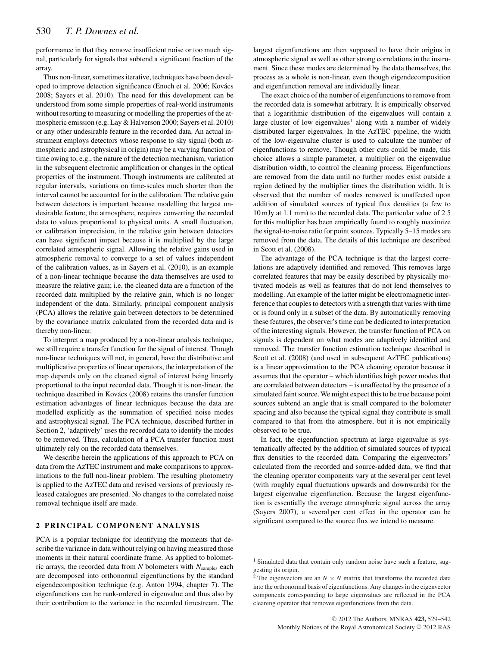performance in that they remove insufficient noise or too much signal, particularly for signals that subtend a significant fraction of the array.

Thus non-linear, sometimes iterative, techniques have been developed to improve detection significance (Enoch et al. 2006; Kovács 2008; Sayers et al. 2010). The need for this development can be understood from some simple properties of real-world instruments without resorting to measuring or modelling the properties of the atmospheric emission (e.g. Lay & Halverson 2000; Sayers et al. 2010) or any other undesirable feature in the recorded data. An actual instrument employs detectors whose response to sky signal (both atmospheric and astrophysical in origin) may be a varying function of time owing to, e.g., the nature of the detection mechanism, variation in the subsequent electronic amplification or changes in the optical properties of the instrument. Though instruments are calibrated at regular intervals, variations on time-scales much shorter than the interval cannot be accounted for in the calibration. The relative gain between detectors is important because modelling the largest undesirable feature, the atmosphere, requires converting the recorded data to values proportional to physical units. A small fluctuation, or calibration imprecision, in the relative gain between detectors can have significant impact because it is multiplied by the large correlated atmospheric signal. Allowing the relative gains used in atmospheric removal to converge to a set of values independent of the calibration values, as in Sayers et al. (2010), is an example of a non-linear technique because the data themselves are used to measure the relative gain; i.e. the cleaned data are a function of the recorded data multiplied by the relative gain, which is no longer independent of the data. Similarly, principal component analysis (PCA) allows the relative gain between detectors to be determined by the covariance matrix calculated from the recorded data and is thereby non-linear.

To interpret a map produced by a non-linear analysis technique, we still require a transfer function for the signal of interest. Though non-linear techniques will not, in general, have the distributive and multiplicative properties of linear operators, the interpretation of the map depends only on the cleaned signal of interest being linearly proportional to the input recorded data. Though it is non-linear, the technique described in Kovács (2008) retains the transfer function estimation advantages of linear techniques because the data are modelled explicitly as the summation of specified noise modes and astrophysical signal. The PCA technique, described further in Section 2, 'adaptively' uses the recorded data to identify the modes to be removed. Thus, calculation of a PCA transfer function must ultimately rely on the recorded data themselves.

We describe herein the applications of this approach to PCA on data from the AzTEC instrument and make comparisons to approximations to the full non-linear problem. The resulting photometry is applied to the AzTEC data and revised versions of previously released catalogues are presented. No changes to the correlated noise removal technique itself are made.

#### **2 PRINCIPAL COMPONENT ANALYSIS**

PCA is a popular technique for identifying the moments that describe the variance in data without relying on having measured those moments in their natural coordinate frame. As applied to bolometric arrays, the recorded data from  $N$  bolometers with  $N_{\text{samples}}$  each are decomposed into orthonormal eigenfunctions by the standard eigendecomposition technique (e.g. Anton 1994, chapter 7). The eigenfunctions can be rank-ordered in eigenvalue and thus also by their contribution to the variance in the recorded timestream. The

largest eigenfunctions are then supposed to have their origins in atmospheric signal as well as other strong correlations in the instrument. Since these modes are determined by the data themselves, the process as a whole is non-linear, even though eigendecomposition and eigenfunction removal are individually linear.

The exact choice of the number of eigenfunctions to remove from the recorded data is somewhat arbitrary. It is empirically observed that a logarithmic distribution of the eigenvalues will contain a large cluster of low eigenvalues<sup>1</sup> along with a number of widely distributed larger eigenvalues. In the AzTEC pipeline, the width of the low-eigenvalue cluster is used to calculate the number of eigenfunctions to remove. Though other cuts could be made, this choice allows a simple parameter, a multiplier on the eigenvalue distribution width, to control the cleaning process. Eigenfunctions are removed from the data until no further modes exist outside a region defined by the multiplier times the distribution width. It is observed that the number of modes removed is unaffected upon addition of simulated sources of typical flux densities (a few to 10 mJy at 1.1 mm) to the recorded data. The particular value of 2.5 for this multiplier has been empirically found to roughly maximize the signal-to-noise ratio for point sources. Typically 5–15 modes are removed from the data. The details of this technique are described in Scott et al. (2008).

The advantage of the PCA technique is that the largest correlations are adaptively identified and removed. This removes large correlated features that may be easily described by physically motivated models as well as features that do not lend themselves to modelling. An example of the latter might be electromagnetic interference that couples to detectors with a strength that varies with time or is found only in a subset of the data. By automatically removing these features, the observer's time can be dedicated to interpretation of the interesting signals. However, the transfer function of PCA on signals is dependent on what modes are adaptively identified and removed. The transfer function estimation technique described in Scott et al. (2008) (and used in subsequent AzTEC publications) is a linear approximation to the PCA cleaning operator because it assumes that the operator – which identifies high power modes that are correlated between detectors – is unaffected by the presence of a simulated faint source. We might expect this to be true because point sources subtend an angle that is small compared to the bolometer spacing and also because the typical signal they contribute is small compared to that from the atmosphere, but it is not empirically observed to be true.

In fact, the eigenfunction spectrum at large eigenvalue is systematically affected by the addition of simulated sources of typical flux densities to the recorded data. Comparing the eigenvectors<sup>2</sup> calculated from the recorded and source-added data, we find that the cleaning operator components vary at the several per cent level (with roughly equal fluctuations upwards and downwards) for the largest eigenvalue eigenfunction. Because the largest eigenfunction is essentially the average atmospheric signal across the array (Sayers 2007), a several per cent effect in the operator can be significant compared to the source flux we intend to measure.

<sup>&</sup>lt;sup>1</sup> Simulated data that contain only random noise have such a feature, suggesting its origin.

<sup>&</sup>lt;sup>2</sup> The eigenvectors are an  $N \times N$  matrix that transforms the recorded data into the orthonormal basis of eigenfunctions. Any changes in the eigenvector components corresponding to large eigenvalues are reflected in the PCA cleaning operator that removes eigenfunctions from the data.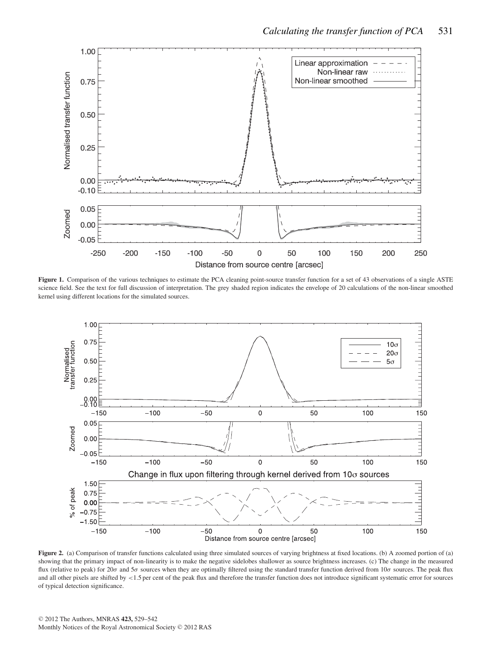

**Figure 1.** Comparison of the various techniques to estimate the PCA cleaning point-source transfer function for a set of 43 observations of a single ASTE science field. See the text for full discussion of interpretation. The grey shaded region indicates the envelope of 20 calculations of the non-linear smoothed kernel using different locations for the simulated sources.



**Figure 2.** (a) Comparison of transfer functions calculated using three simulated sources of varying brightness at fixed locations. (b) A zoomed portion of (a) showing that the primary impact of non-linearity is to make the negative sidelobes shallower as source brightness increases. (c) The change in the measured flux (relative to peak) for 20 $\sigma$  and 5 $\sigma$  sources when they are optimally filtered using the standard transfer function derived from 10 $\sigma$  sources. The peak flux and all other pixels are shifted by <1.5 per cent of the peak flux and therefore the transfer function does not introduce significant systematic error for sources of typical detection significance.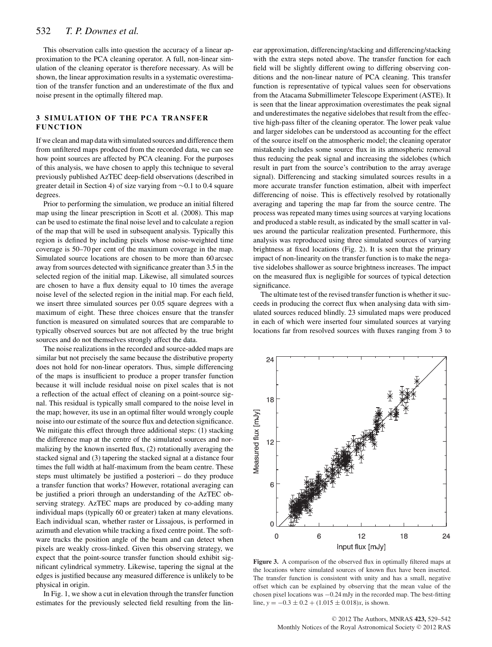This observation calls into question the accuracy of a linear approximation to the PCA cleaning operator. A full, non-linear simulation of the cleaning operator is therefore necessary. As will be shown, the linear approximation results in a systematic overestimation of the transfer function and an underestimate of the flux and noise present in the optimally filtered map.

## **3 SIMULATION OF THE PCA TRANSFER FUNCTION**

If we clean and map data with simulated sources and difference them from unfiltered maps produced from the recorded data, we can see how point sources are affected by PCA cleaning. For the purposes of this analysis, we have chosen to apply this technique to several previously published AzTEC deep-field observations (described in greater detail in Section 4) of size varying from ∼0.1 to 0.4 square degrees.

Prior to performing the simulation, we produce an initial filtered map using the linear prescription in Scott et al. (2008). This map can be used to estimate the final noise level and to calculate a region of the map that will be used in subsequent analysis. Typically this region is defined by including pixels whose noise-weighted time coverage is 50–70 per cent of the maximum coverage in the map. Simulated source locations are chosen to be more than 60 arcsec away from sources detected with significance greater than 3.5 in the selected region of the initial map. Likewise, all simulated sources are chosen to have a flux density equal to 10 times the average noise level of the selected region in the initial map. For each field, we insert three simulated sources per 0.05 square degrees with a maximum of eight. These three choices ensure that the transfer function is measured on simulated sources that are comparable to typically observed sources but are not affected by the true bright sources and do not themselves strongly affect the data.

The noise realizations in the recorded and source-added maps are similar but not precisely the same because the distributive property does not hold for non-linear operators. Thus, simple differencing of the maps is insufficient to produce a proper transfer function because it will include residual noise on pixel scales that is not a reflection of the actual effect of cleaning on a point-source signal. This residual is typically small compared to the noise level in the map; however, its use in an optimal filter would wrongly couple noise into our estimate of the source flux and detection significance. We mitigate this effect through three additional steps: (1) stacking the difference map at the centre of the simulated sources and normalizing by the known inserted flux, (2) rotationally averaging the stacked signal and (3) tapering the stacked signal at a distance four times the full width at half-maximum from the beam centre. These steps must ultimately be justified a posteriori – do they produce a transfer function that works? However, rotational averaging can be justified a priori through an understanding of the AzTEC observing strategy. AzTEC maps are produced by co-adding many individual maps (typically 60 or greater) taken at many elevations. Each individual scan, whether raster or Lissajous, is performed in azimuth and elevation while tracking a fixed centre point. The software tracks the position angle of the beam and can detect when pixels are weakly cross-linked. Given this observing strategy, we expect that the point-source transfer function should exhibit significant cylindrical symmetry. Likewise, tapering the signal at the edges is justified because any measured difference is unlikely to be physical in origin.

In Fig. 1, we show a cut in elevation through the transfer function estimates for the previously selected field resulting from the lin-

ear approximation, differencing/stacking and differencing/stacking with the extra steps noted above. The transfer function for each field will be slightly different owing to differing observing conditions and the non-linear nature of PCA cleaning. This transfer function is representative of typical values seen for observations from the Atacama Submillimeter Telescope Experiment (ASTE). It is seen that the linear approximation overestimates the peak signal and underestimates the negative sidelobes that result from the effective high-pass filter of the cleaning operator. The lower peak value and larger sidelobes can be understood as accounting for the effect of the source itself on the atmospheric model; the cleaning operator mistakenly includes some source flux in its atmospheric removal thus reducing the peak signal and increasing the sidelobes (which result in part from the source's contribution to the array average signal). Differencing and stacking simulated sources results in a more accurate transfer function estimation, albeit with imperfect differencing of noise. This is effectively resolved by rotationally averaging and tapering the map far from the source centre. The process was repeated many times using sources at varying locations and produced a stable result, as indicated by the small scatter in values around the particular realization presented. Furthermore, this analysis was reproduced using three simulated sources of varying brightness at fixed locations (Fig. 2). It is seen that the primary impact of non-linearity on the transfer function is to make the negative sidelobes shallower as source brightness increases. The impact on the measured flux is negligible for sources of typical detection significance.

The ultimate test of the revised transfer function is whether it succeeds in producing the correct flux when analysing data with simulated sources reduced blindly. 23 simulated maps were produced in each of which were inserted four simulated sources at varying locations far from resolved sources with fluxes ranging from 3 to



Figure 3. A comparison of the observed flux in optimally filtered maps at the locations where simulated sources of known flux have been inserted. The transfer function is consistent with unity and has a small, negative offset which can be explained by observing that the mean value of the chosen pixel locations was −0.24 mJy in the recorded map. The best-fitting line,  $y = -0.3 \pm 0.2 + (1.015 \pm 0.018)x$ , is shown.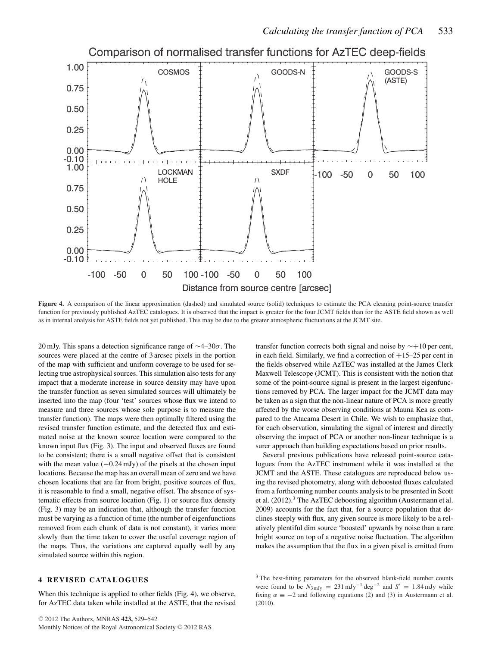

# Comparison of normalised transfer functions for AzTEC deep-fields

**Figure 4.** A comparison of the linear approximation (dashed) and simulated source (solid) techniques to estimate the PCA cleaning point-source transfer function for previously published AzTEC catalogues. It is observed that the impact is greater for the four JCMT fields than for the ASTE field shown as well as in internal analysis for ASTE fields not yet published. This may be due to the greater atmospheric fluctuations at the JCMT site.

20 mJy. This spans a detection significance range of ∼4–30σ. The sources were placed at the centre of 3 arcsec pixels in the portion of the map with sufficient and uniform coverage to be used for selecting true astrophysical sources. This simulation also tests for any impact that a moderate increase in source density may have upon the transfer function as seven simulated sources will ultimately be inserted into the map (four 'test' sources whose flux we intend to measure and three sources whose sole purpose is to measure the transfer function). The maps were then optimally filtered using the revised transfer function estimate, and the detected flux and estimated noise at the known source location were compared to the known input flux (Fig. 3). The input and observed fluxes are found to be consistent; there is a small negative offset that is consistent with the mean value  $(-0.24 \text{ mJy})$  of the pixels at the chosen input locations. Because the map has an overall mean of zero and we have chosen locations that are far from bright, positive sources of flux, it is reasonable to find a small, negative offset. The absence of systematic effects from source location (Fig. 1) or source flux density (Fig. 3) may be an indication that, although the transfer function must be varying as a function of time (the number of eigenfunctions removed from each chunk of data is not constant), it varies more slowly than the time taken to cover the useful coverage region of the maps. Thus, the variations are captured equally well by any simulated source within this region.

## transfer function corrects both signal and noise by ∼+10 per cent, in each field. Similarly, we find a correction of  $+15-25$  per cent in the fields observed while AzTEC was installed at the James Clerk Maxwell Telescope (JCMT). This is consistent with the notion that some of the point-source signal is present in the largest eigenfunctions removed by PCA. The larger impact for the JCMT data may be taken as a sign that the non-linear nature of PCA is more greatly affected by the worse observing conditions at Mauna Kea as compared to the Atacama Desert in Chile. We wish to emphasize that, for each observation, simulating the signal of interest and directly observing the impact of PCA or another non-linear technique is a surer approach than building expectations based on prior results.

Several previous publications have released point-source catalogues from the AzTEC instrument while it was installed at the JCMT and the ASTE. These catalogues are reproduced below using the revised photometry, along with deboosted fluxes calculated from a forthcoming number counts analysis to be presented in Scott et al.  $(2012).<sup>3</sup>$  The AzTEC deboosting algorithm (Austermann et al. 2009) accounts for the fact that, for a source population that declines steeply with flux, any given source is more likely to be a relatively plentiful dim source 'boosted' upwards by noise than a rare bright source on top of a negative noise fluctuation. The algorithm makes the assumption that the flux in a given pixel is emitted from

#### **4 REVISED CATALOGUES**

When this technique is applied to other fields (Fig. 4), we observe, for AzTEC data taken while installed at the ASTE, that the revised

<sup>&</sup>lt;sup>3</sup> The best-fitting parameters for the observed blank-field number counts were found to be  $N_{3 \text{ mJy}} = 231 \text{ mJy}^{-1} \text{ deg}^{-2}$  and  $S' = 1.84 \text{ mJy}$  while fixing  $\alpha \equiv -2$  and following equations (2) and (3) in Austermann et al. (2010).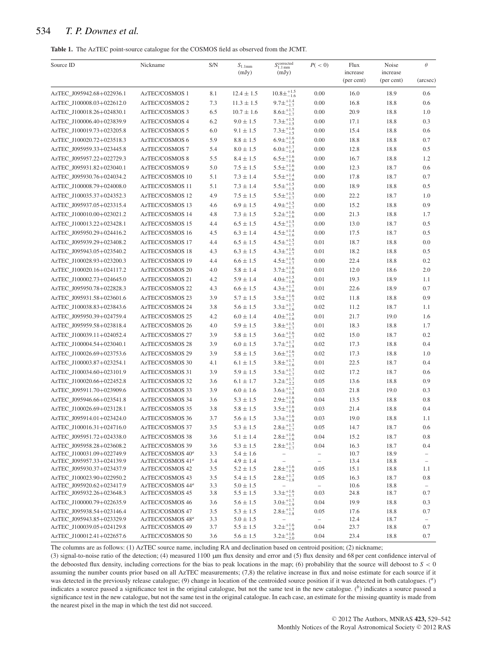|  | Table 1. The AzTEC point-source catalogue for the COSMOS field as observed from the JCMT. |  |  |  |  |
|--|-------------------------------------------------------------------------------------------|--|--|--|--|
|--|-------------------------------------------------------------------------------------------|--|--|--|--|

| Source ID                                              | Nickname                                        | S/N        | $S_{1.1mm}$<br>(mJy)           | $S_{1.1\,\mathrm{mm}}^{\mathrm{corrected}}$<br>(mJy) | P(< 0)                           | Flux<br>increase<br>(per cent) | Noise<br>increase<br>(per cent) | $\theta$<br>(arcsec)            |
|--------------------------------------------------------|-------------------------------------------------|------------|--------------------------------|------------------------------------------------------|----------------------------------|--------------------------------|---------------------------------|---------------------------------|
| AzTEC_J095942.68+022936.1                              | AzTEC/COSMOS 1                                  | 8.1        | $12.4 \pm 1.5$                 | $10.8\pm^{+1.5}_{-1.6}$                              | 0.00                             | 16.0                           | 18.9                            | 0.6                             |
| AzTEC_J100008.03+022612.0                              | AzTEC/COSMOS 2                                  | 7.3        | $11.3 \pm 1.5$                 | $9.7 \pm {}^{+1.4}_{-1.7}$                           | 0.00                             | 16.8                           | 18.8                            | 0.6                             |
| AzTEC J100018.26+024830.1                              | AzTEC/COSMOS 3                                  | 6.5        | $10.7 \pm 1.6$                 | $8.6\pm^{+1.7}_{-1.7}$                               | 0.00                             | 20.9                           | 18.8                            | 1.0                             |
| AzTEC_J100006.40+023839.9                              | AzTEC/COSMOS 4                                  | 6.2        | $9.0 \pm 1.5$                  | $7.3 \pm ^{+1.5}_{-1.5}$                             | 0.00                             | 17.1                           | 18.8                            | 0.3                             |
| AzTEC_J100019.73+023205.8                              | AzTEC/COSMOS 5                                  | 6.0        | $9.1 \pm 1.5$                  | $7.3 \pm {}^{+1.6}_{-1.5}$                           | 0.00                             | 15.4                           | 18.8                            | 0.6                             |
| AzTEC J100020.72+023518.3                              | AzTEC/COSMOS 6                                  | 5.9        | $8.8 \pm 1.5$                  | $6.9 \pm ^{+1.6}_{-1.4}$                             | 0.00                             | 18.8                           | 18.8                            | 0.7                             |
| AzTEC_J095959.33+023445.8                              | AzTEC/COSMOS 7                                  | 5.4        | $8.0 \pm 1.5$                  | $6.0\pm_{-1.4}^{+1.7}$                               | 0.00                             | 12.8                           | 18.8                            | 0.5                             |
| AzTEC J095957.22+022729.3                              | AzTEC/COSMOS 8                                  | 5.5        | $8.4 \pm 1.5$                  | $6.5\pm^{+1.6}_{-1.6}$                               | 0.00                             | 16.7                           | 18.8                            | 1.2                             |
| AzTEC_J095931.82+023040.1                              | AzTEC/COSMOS 9                                  | 5.0        | $7.5 \pm 1.5$                  | $5.5\pm^{+1.6}_{-1.6}$                               | 0.00                             | 12.3                           | 18.7                            | 0.6                             |
| AzTEC_J095930.76+024034.2                              | AzTEC/COSMOS 10                                 | 5.1        | $7.3 \pm 1.4$                  | $5.5\pm^{+1.4}_{-1.6}$                               | 0.00                             | 17.8                           | 18.7                            | 0.7                             |
| AzTEC_J100008.79+024008.0                              | AzTEC/COSMOS 11                                 | 5.1        | $7.3 \pm 1.4$                  | $5.5\pm^{+1.5}_{-1.5}$                               | 0.00                             | 18.9                           | 18.8                            | 0.5                             |
| AzTEC_J100035.37+024352.3                              | AzTEC/COSMOS 12                                 | 4.9        | $7.5 \pm 1.5$                  | $5.5\pm^{+1.5}_{-1.7}$                               | 0.00                             | 22.2                           | 18.7                            | 1.0                             |
| AzTEC_J095937.05+023315.4                              | AzTEC/COSMOS 13                                 | 4.6        | $6.9 \pm 1.5$                  | $4.9\pm^{+1.5}_{-1.7}$                               | 0.00                             | 15.2                           | 18.8                            | 0.9                             |
| AzTEC_J100010.00+023021.2                              | AzTEC/COSMOS 14                                 | 4.8        | $7.3 \pm 1.5$                  | $5.2\pm^{+1.6}_{-1.6}$                               | 0.00                             | 21.3                           | 18.8                            | 1.7                             |
| AzTEC J100013.22+023428.1                              | AzTEC/COSMOS 15                                 | 4.4        | $6.5 \pm 1.5$                  | $4.5\pm^{+1.5}_{-1.7}$                               | 0.00                             | 13.0                           | 18.7                            | 0.5                             |
| AzTEC_J095950.29+024416.2                              | AzTEC/COSMOS 16                                 | 4.5        | $6.3 \pm 1.4$                  | $4.5\pm^{+1.4}_{-1.6}$                               | 0.00                             | 17.5                           | 18.7                            | 0.5                             |
| AzTEC_J095939.29+023408.2                              | AzTEC/COSMOS 17                                 | 4.4        | $6.5 \pm 1.5$                  | $4.5\pm^{+1.5}_{-1.7}$                               | 0.01                             | 18.7                           | 18.8                            | 0.0                             |
| AzTEC_J095943.05+023540.2                              | AzTEC/COSMOS 18                                 | 4.3        | $6.3 \pm 1.5$                  | $4.3\pm^{+1.6}_{-1.7}$                               | 0.01                             | 18.2                           | 18.8                            | 0.5                             |
| AzTEC_J100028.93+023200.3                              | AzTEC/COSMOS 19                                 | 4.4        | $6.6 \pm 1.5$                  | $4.5\pm^{+1.6}_{-1.7}$                               | 0.00                             | 22.4                           | 18.8                            | 0.2                             |
| AzTEC_J100020.16+024117.2                              | AzTEC/COSMOS 20                                 | 4.0        | $5.8 \pm 1.4$                  | $3.7\pm^{+1.6}_{-1.6}$                               | 0.01                             | 12.0                           | 18.6                            | 2.0                             |
| AzTEC_J100002.73+024645.0                              | AzTEC/COSMOS 21                                 | 4.2        | $5.9 \pm 1.4$                  | $4.0\pm^{+1.5}_{-1.6}$                               | 0.01                             | 19.3                           | 18.9                            | 1.1                             |
| AzTEC J095950.78+022828.3                              | AzTEC/COSMOS 22                                 | 4.3        | $6.6 \pm 1.5$                  | $4.3\pm^{+1.7}_{-1.6}$                               | 0.01                             | 22.6                           | 18.9                            | 0.7                             |
| AzTEC_J095931.58+023601.6                              | AzTEC/COSMOS 23                                 | 3.9        | $5.7 \pm 1.5$                  | $3.5\pm^{+1.6}_{-1.7}$                               | 0.02                             | 11.8                           | 18.8                            | 0.9                             |
| AzTEC_J100038.83+023843.6                              | AzTEC/COSMOS 24                                 | 3.8        | $5.6 \pm 1.5$                  | $3.3\pm^{+1.7}_{-1.6}$                               | 0.02                             | 11.2                           | 18.7                            | 1.1                             |
| AzTEC_J095950.39+024759.4                              | AzTEC/COSMOS 25                                 | 4.2        | $6.0 \pm 1.4$                  | $4.0\pm^{+1.5}_{-1.6}$                               | 0.01                             | 21.7                           | 19.0                            | 1.6                             |
| AzTEC_J095959.58+023818.4                              | AzTEC/COSMOS 26                                 | 4.0        | $5.9 \pm 1.5$                  | $3.8\pm^{+1.5}_{-1.7}$                               | 0.01                             | 18.3                           | 18.8                            | 1.7                             |
| AzTEC_J100039.11+024052.4                              | AzTEC/COSMOS 27                                 | 3.9        | $5.8 \pm 1.5$                  | $3.6\pm^{+1.6}_{-1.7}$                               | 0.02                             | 15.0                           | 18.7                            | 0.2                             |
| AzTEC_J100004.54+023040.1                              | AzTEC/COSMOS 28                                 | 3.9        | $6.0 \pm 1.5$                  | $3.7\pm^{+1.7}_{-1.8}$                               | 0.02                             | 17.3                           | 18.8                            | 0.4                             |
| AzTEC_J100026.69+023753.6                              | AzTEC/COSMOS 29                                 | 3.9        | $5.8 \pm 1.5$                  | $3.6\pm^{+1.6}_{-1.7}$                               | 0.02                             | 17.3                           | 18.8                            | 1.0                             |
| AzTEC_J100003.87+023254.1                              | AzTEC/COSMOS 30                                 | 4.1        | $6.1 \pm 1.5$                  | $3.8\pm^{+1.7}_{-1.6}$                               | 0.01                             | 22.5                           | 18.7                            | 0.4                             |
| AzTEC_J100034.60+023101.9                              | AzTEC/COSMOS 31                                 | 3.9        | $5.9 \pm 1.5$                  | $3.5\pm^{+1.7}_{-1.7}$                               | 0.02                             | 17.2                           | 18.7                            | 0.6                             |
| AzTEC_J100020.66+022452.8                              | AzTEC/COSMOS 32                                 | 3.6        | $6.1 \pm 1.7$                  | $3.2\pm^{+1.7}_{-2.2}$                               | 0.05                             | 13.6                           | 18.8                            | 0.9                             |
| AzTEC_J095911.70+023909.6                              | AzTEC/COSMOS 33                                 | 3.9        | $6.0 \pm 1.6$                  | $3.6\pm^{+1.7}_{-1.8}$                               | 0.03                             | 21.8                           | 19.0                            | 0.3                             |
| AzTEC_J095946.66+023541.8                              | AzTEC/COSMOS 34                                 | 3.6        | $5.3 \pm 1.5$                  | $2.9\pm^{+1.6}_{-1.8}$                               | 0.04                             | 13.5                           | 18.8                            | 0.8                             |
| AzTEC_J100026.69+023128.1                              | AzTEC/COSMOS 35                                 | 3.8        | $5.8 \pm 1.5$                  | $3.5\pm^{+1.6}_{-1.8}$                               | 0.03                             | 21.4                           | 18.8                            | 0.4                             |
| AzTEC J095914.01+023424.0                              | AzTEC/COSMOS 36                                 | 3.7        | $5.6 \pm 1.5$                  | $3.3\pm^{+1.6}_{-1.8}$                               | 0.03                             | 19.0                           | 18.8                            | 1.1                             |
| AzTEC J100016.31+024716.0                              | AzTEC/COSMOS 37                                 | 3.5        | $5.3 \pm 1.5$                  | $2.8\pm^{+1.7}_{-1.7}$                               | 0.05                             | 14.7                           | 18.7                            | 0.6                             |
| AzTEC_J095951.72+024338.0                              | AzTEC/COSMOS 38                                 | 3.6        | $5.1 \pm 1.4$                  | $2.8\pm^{+1.6}_{-1.6}$                               | 0.04                             | 15.2                           | 18.7                            | 0.8                             |
| AzTEC J095958.28+023608.2                              | AzTEC/COSMOS 39                                 | 3.6        | $5.3 \pm 1.5$                  | $2.8\pm_{-1.7}^{+1.7}$                               | 0.04                             | 16.3                           | 18.7                            | 0.4                             |
| AzTEC_J100031.09+022749.9                              | AzTEC/COSMOS 40 <sup>a</sup>                    | 3.3        | $5.4 \pm 1.6$                  | $\qquad \qquad -$                                    | $\qquad \qquad -$                | 10.7                           | 18.9                            | $\overline{\phantom{a}}$        |
| AzTEC_J095957.33+024139.9                              | AzTEC/COSMOS 41ª                                | 3.4        | $4.9 \pm 1.4$                  |                                                      |                                  | 13.4                           | 18.8                            | $\overline{\phantom{a}}$        |
| AzTEC_J095930.37+023437.9                              | AzTEC/COSMOS 42                                 | 3.5        | $5.2 \pm 1.5$                  | $2.8\pm^{+1.6}_{-1.9}$                               | 0.05                             | 15.1                           | 18.8                            | 1.1                             |
| AzTEC_J100023.90+022950.2                              | AzTEC/COSMOS 43                                 | 3.5        | $5.4 \pm 1.5$                  | $2.8\pm^{+1.7}_{-1.8}$                               | 0.05                             | 16.3                           | 18.7                            | 0.8                             |
| AzTEC_J095920.62+023417.9                              | AzTEC/COSMOS 44 <sup>a</sup>                    | 3.3        | $5.0 \pm 1.5$                  |                                                      |                                  | 10.6                           | 18.8                            | $\overline{\phantom{a}}$        |
| AzTEC_J095932.26+023648.3                              | AzTEC/COSMOS 45                                 | 3.8        | $5.5 \pm 1.5$                  | $3.3\pm^{+1.6}_{-1.7}$                               | 0.03                             | 24.8                           | 18.7                            | 0.7                             |
| AzTEC_J100000.79+022635.9                              | AzTEC/COSMOS 46                                 | 3.6        | $5.6 \pm 1.5$                  | $3.0\pm_{-1.9}^{+1.7}$                               | 0.04                             | 19.9                           | 18.8                            | 0.3                             |
| AzTEC_J095938.54+023146.4<br>AzTEC_J095943.85+023329.9 | AzTEC/COSMOS 47<br>AzTEC/COSMOS 48 <sup>a</sup> | 3.5<br>3.3 | $5.3 \pm 1.5$<br>$5.0 \pm 1.5$ | $2.8\pm^{+1.7}_{-1.8}$<br>-                          | 0.05<br>$\overline{\phantom{m}}$ | 17.6<br>12.4                   | 18.8<br>18.7                    | 0.7<br>$\overline{\phantom{m}}$ |
| AzTEC_J100039.05+024129.8                              | AzTEC/COSMOS 49                                 | 3.7        | $5.5 \pm 1.5$                  | $3.2\pm^{+1.6}_{-1.9}$                               | 0.04                             | 23.7                           | 18.8                            | 0.7                             |
| AzTEC_J100012.41+022657.6                              | AzTEC/COSMOS 50                                 | 3.6        | $5.6 \pm 1.5$                  | $3.2\pm^{+1.6}_{-2.0}$                               | 0.04                             | 23.4                           | 18.8                            | 0.7                             |

The columns are as follows: (1) AzTEC source name, including RA and declination based on centroid position; (2) nickname;

(3) signal-to-noise ratio of the detection; (4) measured 1100 µm flux density and error and (5) flux density and 68 per cent confidence interval of the deboosted flux density, including corrections for the bias to peak locations in the map; (6) probability that the source will deboost to  $S < 0$ assuming the number counts prior based on all AzTEC measurements; (7,8) the relative increase in flux and noise estimate for each source if it was detected in the previously release catalogue; (9) change in location of the centroided source position if it was detected in both catalogues. (<sup>*a*</sup>) indicates a source passed a significance test in the original catalogue, but not the same test in the new catalogue.  $(^{b})$  indicates a source passed a significance test in the new catalogue, but not the same test in the original catalogue. In each case, an estimate for the missing quantity is made from the nearest pixel in the map in which the test did not succeed.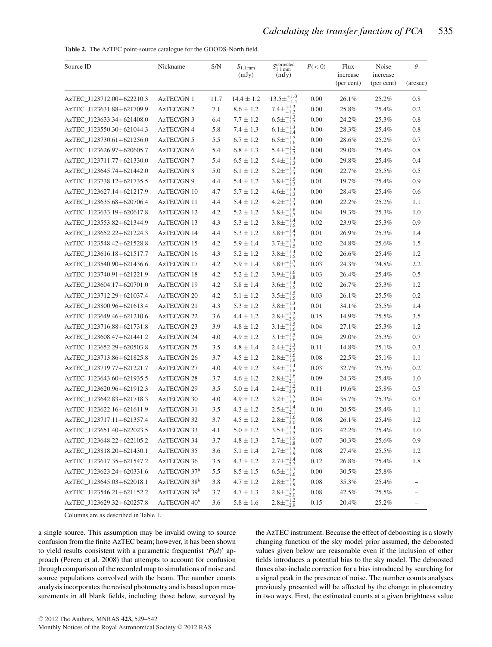**Table 2.** The AzTEC point-source catalogue for the GOODS-North field.

| Source ID                 | Nickname        | S/N  | $S_{1.1 \text{ mm}}$<br>(mJy) | $S_{1.1\,\mathrm{mm}}^{\mathrm{corrected}}$<br>(mJy) | P(< 0) | Flux<br>increase<br>(per cent) | Noise<br>increase<br>(per cent) | $\theta$<br>(arcsec) |
|---------------------------|-----------------|------|-------------------------------|------------------------------------------------------|--------|--------------------------------|---------------------------------|----------------------|
| AzTEC_J123712.00+622210.3 | AzTEC/GN 1      | 11.7 | $14.4 \pm 1.2$                | $13.5\pm^{+1.0}_{-1.4}$                              | 0.00   | 26.1%                          | 25.2%                           | 0.8                  |
| AzTEC_J123631.88+621709.9 | AzTEC/GN 2      | 7.1  | $8.6 \pm 1.2$                 | $7.4\pm^{+1.3}_{-1.2}$                               | 0.00   | 25.8%                          | $25.4\%$                        | 0.2                  |
| AzTEC_J123633.34+621408.0 | AzTEC/GN 3      | 6.4  | $7.7 \pm 1.2$                 | $6.5\pm^{+1.3}_{-1.2}$                               | 0.00   | 24.2%                          | 25.3%                           | 0.8                  |
| AzTEC_J123550.30+621044.3 | AzTEC/GN 4      | 5.8  | $7.4 \pm 1.3$                 | $6.1\pm^{+1.3}_{-1.4}$                               | 0.00   | 28.3%                          | 25.4%                           | 0.8                  |
| AzTEC J123730.61+621256.0 | AzTEC/GN 5      | 5.5  | $6.7 \pm 1.2$                 | $6.5\pm^{+1.7}_{-1.6}$                               | 0.00   | 28.6%                          | 25.2%                           | 0.7                  |
| AzTEC_J123626.97+620605.7 | AzTEC/GN 6      | 5.4  | $6.8 \pm 1.3$                 | $5.4\pm^{+1.2}_{-1.3}$                               | 0.00   | 29.0%                          | 25.4%                           | 0.8                  |
| AzTEC_J123711.77+621330.0 | AzTEC/GN 7      | 5.4  | $6.5 \pm 1.2$                 | $5.4\pm^{+1.3}_{-1.3}$                               | 0.00   | 29.8%                          | 25.4%                           | 0.4                  |
| AzTEC_J123645.74+621442.0 | AzTEC/GN 8      | 5.0  | $6.1 \pm 1.2$                 | $5.2\pm^{+1.2}_{-1.3}$                               | 0.00   | 22.7%                          | 25.5%                           | 0.5                  |
| AzTEC_J123738.12+621735.5 | AzTEC/GN 9      | 4.4  | $5.4 \pm 1.2$                 | $3.8\pm^{+1.5}_{-1.3}$                               | 0.01   | 19.7%                          | 25.4%                           | 0.9                  |
| AzTEC_J123627.14+621217.9 | AzTEC/GN 10     | 4.7  | $5.7 \pm 1.2$                 | $4.6\pm^{+1.3}_{-1.3}$                               | 0.00   | 28.4%                          | 25.4%                           | 0.6                  |
| AzTEC_J123635.68+620706.4 | AzTEC/GN 11     | 4.4  | $5.4 \pm 1.2$                 | $4.2\pm^{+1.3}_{-1.3}$                               | 0.00   | 22.2%                          | 25.2%                           | 1.1                  |
| AzTEC_J123633.19+620617.8 | AzTEC/GN 12     | 4.2  | $5.2 \pm 1.2$                 | $3.8\pm^{+1.8}_{-1.7}$                               | 0.04   | 19.3%                          | 25.3%                           | 1.0                  |
| AzTEC_J123553.82+621344.9 | AzTEC/GN 13     | 4.3  | $5.3 \pm 1.2$                 | $3.8\pm^{+1.4}_{-1.5}$                               | 0.02   | 23.9%                          | 25.3%                           | 0.9                  |
| AzTEC_J123652.22+621224.3 | AzTEC/GN 14     | 4.4  | $5.3 \pm 1.2$                 | $3.8\pm^{+1.4}_{-1.3}$                               | 0.01   | 26.9%                          | 25.3%                           | 1.4                  |
| AzTEC_J123548.42+621528.8 | AzTEC/GN 15     | 4.2  | $5.9 \pm 1.4$                 | $3.7\pm^{+1.3}_{-1.5}$                               | 0.02   | 24.8%                          | 25.6%                           | 1.5                  |
| AzTEC J123616.18+621517.7 | AzTEC/GN 16     | 4.3  | $5.2 \pm 1.2$                 | $3.8\pm^{+1.4}_{-1.5}$                               | 0.02   | 26.6%                          | 25.4%                           | 1.2                  |
| AzTEC_J123540.90+621436.6 | AzTEC/GN 17     | 4.2  | $5.9 \pm 1.4$                 | $3.8\pm^{+1.7}_{-1.7}$                               | 0.03   | 24.3%                          | 24.8%                           | 2.2                  |
| AzTEC J123740.91+621221.9 | AzTEC/GN 18     | 4.2  | $5.2 \pm 1.2$                 | $3.9\pm^{+1.6}_{-1.8}$                               | 0.03   | 26.4%                          | 25.4%                           | 0.5                  |
| AzTEC_J123604.17+620701.0 | AzTEC/GN 19     | 4.2  | $5.8 \pm 1.4$                 | $3.6\pm^{+1.4}_{-1.5}$                               | 0.02   | 26.7%                          | 25.3%                           | 1.2                  |
| AzTEC J123712.29+621037.4 | AzTEC/GN 20     | 4.2  | $5.1 \pm 1.2$                 | $3.5\pm^{+1.5}_{-1.5}$                               | 0.03   | 26.1%                          | 25.5%                           | 0.2                  |
| AzTEC_J123800.96+621613.4 | AzTEC/GN 21     | 4.3  | $5.3 \pm 1.2$                 | $3.8\pm^{+1.3}_{-1.4}$                               | 0.01   | 34.1%                          | 25.5%                           | 1.4                  |
| AzTEC_J123649.46+621210.6 | AzTEC/GN 22     | 3.6  | $4.4 \pm 1.2$                 | $2.8\pm^{+1.2}_{-2.9}$                               | 0.15   | 14.9%                          | 25.5%                           | 3.5                  |
| AzTEC_J123716.88+621731.8 | AzTEC/GN 23     | 3.9  | $4.8 \pm 1.2$                 | $3.1\pm^{+1.5}_{-1.6}$                               | 0.04   | 27.1%                          | 25.3%                           | 1.2                  |
| AzTEC_J123608.47+621441.2 | AzTEC/GN 24     | 4.0  | $4.9 \pm 1.2$                 | $3.1\pm^{+1.5}_{-1.6}$                               | 0.04   | 29.0%                          | 25.3%                           | 0.7                  |
| AzTEC_J123652.29+620503.8 | AzTEC/GN 25     | 3.5  | $4.8 \pm 1.4$                 | $2.4\pm^{+1.3}_{-2.3}$                               | 0.11   | 14.8%                          | 25.1%                           | 0.3                  |
| AzTEC_J123713.86+621825.8 | AzTEC/GN 26     | 3.7  | $4.5 \pm 1.2$                 | $2.8\pm^{+1.6}_{-1.9}$                               | 0.08   | 22.5%                          | 25.1%                           | 1.1                  |
| AzTEC_J123719.77+621221.7 | AzTEC/GN 27     | 4.0  | $4.9 \pm 1.2$                 | $3.4\pm^{+1.4}_{-1.6}$                               | 0.03   | 32.7%                          | 25.3%                           | 0.2                  |
| AzTEC_J123643.60+621935.5 | AzTEC/GN 28     | 3.7  | $4.6 \pm 1.2$                 | $2.8\pm^{+1.6}_{-2.1}$                               | 0.09   | 24.3%                          | 25.4%                           | 1.0                  |
| AzTEC J123620.96+621912.3 | AzTEC/GN 29     | 3.5  | $5.0 \pm 1.4$                 | $2.4\pm^{+1.2}_{-2.3}$                               | 0.11   | 19.6%                          | 25.8%                           | 0.5                  |
| AzTEC J123642.83+621718.3 | AzTEC/GN 30     | 4.0  | $4.9 \pm 1.2$                 | $3.2\pm^{+1.5}_{-1.6}$                               | 0.04   | 35.7%                          | 25.3%                           | 0.3                  |
| AzTEC_J123622.16+621611.9 | AzTEC/GN 31     | 3.5  | $4.3 \pm 1.2$                 | $2.5\pm^{+1.4}_{-2.1}$                               | 0.10   | 20.5%                          | 25.4%                           | 1.1                  |
| AzTEC_J123717.11+621357.4 | AzTEC/GN 32     | 3.7  | $4.5 \pm 1.2$                 | $2.8\pm^{+1.6}_{-2.0}$                               | 0.08   | 26.1%                          | 25.4%                           | 1.2                  |
| AzTEC_J123651.40+622023.5 | AzTEC/GN 33     | 4.1  | $5.0\pm1.2$                   | $3.5\pm^{+1.4}_{-1.5}$                               | 0.03   | 42.2%                          | 25.4%                           | 1.0                  |
| AzTEC_J123648.22+622105.2 | AzTEC/GN 34     | 3.7  | $4.8 \pm 1.3$                 | $2.7\pm^{+1.5}_{-1.8}$                               | 0.07   | 30.3%                          | 25.6%                           | 0.9                  |
| AzTEC_J123818.20+621430.1 | AzTEC/GN 35     | 3.6  | $5.1 \pm 1.4$                 | $2.7\pm^{+1.5}_{-1.9}$                               | 0.08   | 27.4%                          | 25.5%                           | 1.2                  |
| AzTEC_J123617.35+621547.2 | AzTEC/GN 36     | 3.5  | $4.3 \pm 1.2$                 | $2.7\pm^{+1.4}_{-2.7}$                               | 0.12   | 26.8%                          | 25.4%                           | 1.8                  |
| AzTEC_J123623.24+620331.6 | AzTEC/GN $37^b$ | 5.5  | $8.5 \pm 1.5$                 | $6.5\pm^{+1.7}_{-1.6}$                               | 0.00   | 30.5%                          | 25.8%                           |                      |
| AzTEC_J123645.03+622018.1 | AzTEC/GN $38^b$ | 3.8  | $4.7 \pm 1.2$                 | $2.8\pm^{+1.6}_{-1.9}$                               | 0.08   | 35.3%                          | 25.4%                           |                      |
| AzTEC_J123546.21+621152.2 | AzTEC/GN $39^b$ | 3.7  | $4.7 \pm 1.3$                 | $2.8\pm^{+1.6}_{-2.0}$                               | 0.08   | 42.5%                          | 25.5%                           |                      |
| AzTEC_J123629.32+620257.8 | AzTEC/GN $40^b$ | 3.6  | $5.8 \pm 1.6$                 | $2.8\pm^{+1.2}_{-2.9}$                               | 0.15   | 20.4%                          | 25.2%                           |                      |

Columns are as described in Table 1.

a single source. This assumption may be invalid owing to source confusion from the finite AzTEC beam; however, it has been shown to yield results consistent with a parametric frequentist '*P*(*d*)' approach (Perera et al. 2008) that attempts to account for confusion through comparison of the recorded map to simulations of noise and source populations convolved with the beam. The number counts analysis incorporates the revised photometry and is based upon measurements in all blank fields, including those below, surveyed by

the AzTEC instrument. Because the effect of deboosting is a slowly changing function of the sky model prior assumed, the deboosted values given below are reasonable even if the inclusion of other fields introduces a potential bias to the sky model. The deboosted fluxes also include correction for a bias introduced by searching for a signal peak in the presence of noise. The number counts analyses previously presented will be affected by the change in photometry in two ways. First, the estimated counts at a given brightness value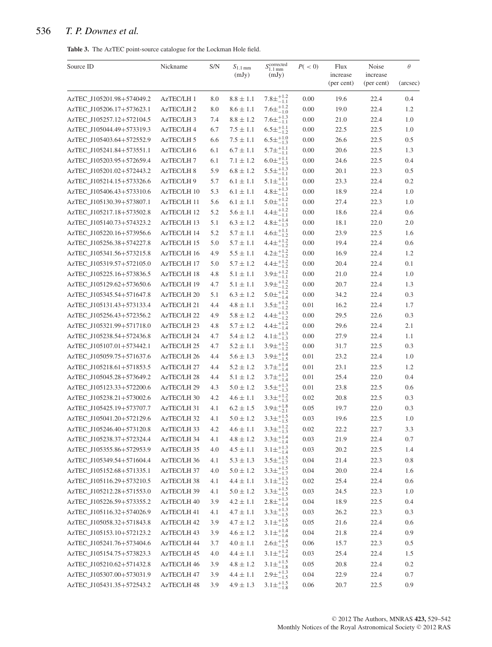| Table 3. The AzTEC point-source catalogue for the Lockman Hole field. |  |
|-----------------------------------------------------------------------|--|
|-----------------------------------------------------------------------|--|

| Source ID                 | Nickname              | S/N | $S_{1.1 \text{ mm}}$ | $S_{1.1\,\mathrm{mm}}^{\mathrm{corrected}}$ | P(< 0) | Flux       | Noise      | $\theta$ |
|---------------------------|-----------------------|-----|----------------------|---------------------------------------------|--------|------------|------------|----------|
|                           |                       |     | (mJy)                | (mJy)                                       |        | increase   | increase   |          |
|                           |                       |     |                      |                                             |        | (per cent) | (per cent) | (arcsec) |
| AzTEC_J105201.98+574049.2 | AzTEC/LH 1            | 8.0 | $8.8\pm1.1$          | $7.8\pm^{+1.2}_{-1.1}$                      | 0.00   | 19.6       | 22.4       | 0.4      |
| AzTEC J105206.17+573623.1 | AzTEC/LH <sub>2</sub> | 8.0 | $8.6 \pm 1.1$        | $7.6\pm^{+1.2}_{-1.0}$                      | 0.00   | 19.0       | 22.4       | 1.2      |
| AzTEC_J105257.12+572104.5 | AzTEC/LH <sub>3</sub> | 7.4 | $8.8\pm1.2$          | $7.6\pm^{+1.3}_{-1.1}$                      | 0.00   | 21.0       | 22.4       | 1.0      |
| AzTEC_J105044.49+573319.3 | AzTEC/LH 4            | 6.7 | $7.5\pm1.1$          | $6.5\pm^{+1.1}_{-1.2}$                      | 0.00   | 22.5       | 22.5       | 1.0      |
| AzTEC_J105403.64+572552.9 | AzTEC/LH <sub>5</sub> | 6.6 | $7.5 \pm 1.1$        | $6.5\pm^{+1.0}_{-1.3}$                      | 0.00   | 26.6       | 22.5       | 0.5      |
| AzTEC_J105241.84+573551.1 | AzTEC/LH 6            | 6.1 | $6.7\pm1.1$          | $5.7\pm^{+1.1}_{-1.1}$                      | 0.00   | 20.6       | 22.5       | 1.3      |
| AzTEC_J105203.95+572659.4 | AzTEC/LH <sub>7</sub> | 6.1 | $7.1 \pm 1.2$        | $6.0\pm_{-1.3}^{+1.1}$                      | 0.00   | 24.6       | 22.5       | 0.4      |
| AzTEC_J105201.02+572443.2 | AzTEC/LH 8            | 5.9 | $6.8 \pm 1.2$        | $5.5\pm^{+1.3}_{-1.1}$                      | 0.00   | 20.1       | 22.3       | 0.5      |
| AzTEC_J105214.15+573326.6 | AzTEC/LH 9            | 5.7 | $6.1 \pm 1.1$        | $5.1\pm^{+1.1}_{-1.1}$                      | 0.00   | 23.3       | 22.4       | 0.2      |
| AzTEC_J105406.43+573310.6 | AzTEC/LH 10           | 5.3 | $6.1 \pm 1.1$        | $4.8\pm_{-1.1}^{+1.3}$                      | 0.00   | 18.9       | 22.4       | 1.0      |
| AzTEC_J105130.39+573807.1 | AzTEC/LH 11           | 5.6 | $6.1 \pm 1.1$        | $5.0 \pm {}^{+1.2}_{-1.1}$                  | 0.00   | 27.4       | 22.3       | 1.0      |
| AzTEC_J105217.18+573502.8 | AzTEC/LH 12           | 5.2 | $5.6 \pm 1.1$        | $4.4\pm^{+1.2}_{-1.1}$                      | 0.00   | 18.6       | 22.4       | 0.6      |
| AzTEC_J105140.73+574323.2 | AzTEC/LH 13           | 5.1 | $6.3 \pm 1.2$        | $4.8 \pm {}^{+1.4}_{-1.3}$                  | 0.00   | 18.1       | 22.0       | 2.0      |
| AzTEC_J105220.16+573956.6 | AzTEC/LH 14           | 5.2 | $5.7\pm1.1$          | $4.6\pm^{+1.1}_{-1.2}$                      | 0.00   | 23.9       | 22.5       | 1.6      |
| AzTEC_J105256.38+574227.8 | AzTEC/LH 15           | 5.0 | $5.7 \pm 1.1$        | $4.4\pm^{+1.2}_{-1.2}$                      | 0.00   | 19.4       | 22.4       | 0.6      |
| AzTEC_J105341.56+573215.8 | AzTEC/LH 16           | 4.9 | $5.5 \pm 1.1$        | $4.2\pm^{+1.2}_{-1.2}$                      | 0.00   | 16.9       | 22.4       | 1.2      |
| AzTEC_J105319.57+572105.0 | AzTEC/LH 17           | 5.0 | $5.7 \pm 1.2$        | $4.4\pm^{+1.2}_{-1.2}$                      | 0.00   | 20.4       | 22.4       | 0.1      |
| AzTEC_J105225.16+573836.5 | AzTEC/LH 18           | 4.8 | $5.1 \pm 1.1$        | $3.9\pm^{+1.2}_{-1.1}$                      | 0.00   | 21.0       | 22.4       | 1.0      |
| AzTEC_J105129.62+573650.6 | AzTEC/LH 19           | 4.7 | $5.1 \pm 1.1$        | $3.9\pm^{+1.2}_{-1.2}$                      | 0.00   | 20.7       | 22.4       | 1.3      |
| AzTEC_J105345.54+571647.8 | AzTEC/LH 20           | 5.1 | $6.3 \pm 1.2$        | $5.0 \pm {}^{+1.2}_{-1.4}$                  | 0.00   | 34.2       | 22.4       | 0.3      |
| AzTEC_J105131.43+573133.4 | AzTEC/LH 21           | 4.4 | $4.8 \pm 1.1$        | $3.5\pm^{+1.2}_{-1.2}$                      | 0.01   | 16.2       | 22.4       | 1.7      |
| AzTEC_J105256.43+572356.2 | AzTEC/LH 22           | 4.9 | $5.8 \pm 1.2$        | $4.4\pm^{+1.3}_{-1.2}$                      | 0.00   | 29.5       | 22.6       | 0.3      |
| AzTEC_J105321.99+571718.0 | AzTEC/LH 23           | 4.8 | $5.7 \pm 1.2$        | $4.4\pm^{+1.2}_{-1.4}$                      | 0.00   | 29.6       | 22.4       | 2.1      |
| AzTEC_J105238.54+572436.8 | AzTEC/LH 24           | 4.7 | $5.4\pm1.2$          | $4.1\pm_{-1.3}^{+1.3}$                      | 0.00   | 27.9       | 22.4       | 1.1      |
| AzTEC_J105107.01+573442.1 | AzTEC/LH 25           | 4.7 | $5.2\pm1.1$          | $3.9\pm^{+1.2}_{-1.2}$                      | 0.00   | 31.7       | 22.5       | 0.3      |
| AzTEC_J105059.75+571637.6 | AzTEC/LH 26           | 4.4 | $5.6 \pm 1.3$        | $3.9\pm^{+1.4}_{-1.5}$                      | 0.01   | 23.2       | 22.4       | 1.0      |
| AzTEC_J105218.61+571853.5 | AzTEC/LH 27           | 4.4 | $5.2 \pm 1.2$        | $3.7\pm^{+1.4}_{-1.4}$                      | 0.01   | 23.1       | 22.5       | 1.2      |
| AzTEC_J105045.28+573649.2 | AzTEC/LH 28           | 4.4 | $5.1 \pm 1.2$        | $3.7\pm^{+1.3}_{-1.4}$                      | 0.01   | 25.4       | 22.0       | 0.4      |
| AzTEC_J105123.33+572200.6 | AzTEC/LH 29           | 4.3 | $5.0 \pm 1.2$        | $3.5\pm^{+1.3}_{-1.3}$                      | 0.01   | 23.8       | 22.5       | 0.6      |
| AzTEC_J105238.21+573002.6 | AzTEC/LH 30           | 4.2 | $4.6\pm1.1$          | $3.3\pm^{+1.2}_{-1.3}$                      | 0.02   | 20.8       | 22.5       | 0.3      |
| AzTEC_J105425.19+573707.7 | AzTEC/LH 31           | 4.1 | $6.2 \pm 1.5$        | $3.9\pm^{+1.8}_{-2.1}$                      | 0.05   | 19.7       | 22.0       | 0.3      |
| AzTEC_J105041.20+572129.6 | AzTEC/LH 32           | 4.1 | $5.0 \pm 1.2$        | $3.3\pm^{+1.5}_{-1.5}$                      | 0.03   | 19.6       | 22.5       | 1.0      |
| AzTEC_J105246.40+573120.8 | AzTEC/LH 33           | 4.2 | $4.6 \pm 1.1$        | $3.3\pm^{+1.2}_{-1.2}$<br>$-1.3$            | 0.02   | 22.2       | 22.7       | 3.3      |
| AzTEC_J105238.37+572324.4 | AzTEC/LH 34           | 4.1 | $4.8 \pm 1.2$        | $3.3\pm^{+1.4}_{-1.4}$                      | 0.03   | 21.9       | 22.4       | 0.7      |
| AzTEC J105355.86+572953.9 | AzTEC/LH 35           | 4.0 | $4.5 \pm 1.1$        | $3.1\pm^{+1.3}_{-1.4}$                      | 0.03   | 20.2       | 22.5       | 1.4      |
| AzTEC_J105349.54+571604.4 | AzTEC/LH 36           | 4.1 | $5.3 \pm 1.3$        | $3.5\pm^{+1.5}_{-1.7}$                      | 0.04   | 21.4       | 22.3       | 0.8      |
| AzTEC_J105152.68+571335.1 | AzTEC/LH 37           | 4.0 | $5.0 \pm 1.2$        | $3.3\pm^{+1.5}_{-1.7}$                      | 0.04   | 20.0       | 22.4       | 1.6      |
| AzTEC_J105116.29+573210.5 | AzTEC/LH 38           | 4.1 | $4.4 \pm 1.1$        | $3.1\pm^{+1.3}_{-1.2}$                      | 0.02   | 25.4       | 22.4       | 0.6      |
| AzTEC_J105212.28+571553.0 | AzTEC/LH 39           | 4.1 | $5.0 \pm 1.2$        | $3.3\pm^{+1.5}_{-1.5}$                      | 0.03   | 24.5       | 22.3       | 1.0      |
| AzTEC_J105226.59+573355.2 | AzTEC/LH 40           | 3.9 | $4.2 \pm 1.1$        | $2.8\pm^{+1.3}_{-1.4}$                      | 0.04   | 18.9       | 22.5       | 0.4      |
| AzTEC_J105116.32+574026.9 | AzTEC/LH 41           | 4.1 | $4.7 \pm 1.1$        | $3.3\pm^{+1.3}_{-1.5}$                      | 0.03   | 26.2       | 22.3       | 0.3      |
| AzTEC_J105058.32+571843.8 | AzTEC/LH 42           | 3.9 | $4.7 \pm 1.2$        | $3.1\pm^{+1.5}_{-1.6}$                      | 0.05   | 21.6       | 22.4       | 0.6      |
| AzTEC_J105153.10+572123.2 | AzTEC/LH 43           | 3.9 | $4.6 \pm 1.2$        | $3.1\pm^{+1.4}_{-1.6}$                      | 0.04   | 21.8       | 22.4       | 0.9      |
| AzTEC_J105241.76+573404.6 | AzTEC/LH 44           | 3.7 | $4.0 \pm 1.1$        | $2.6\pm^{+1.4}_{-1.5}$                      | 0.06   | 15.7       | 22.3       | 0.5      |
| AzTEC_J105154.75+573823.3 | AzTEC/LH 45           | 4.0 | $4.4 \pm 1.1$        | $3.1\pm^{+1.2}_{-1.4}$                      | 0.03   | 25.4       | 22.4       | 1.5      |
| AzTEC_J105210.62+571432.8 | AzTEC/LH 46           | 3.9 | $4.8\pm1.2$          | $3.1\pm^{+1.5}_{-1.8}$                      | 0.05   | 20.8       | 22.4       | 0.2      |
| AzTEC_J105307.00+573031.9 | AzTEC/LH 47           | 3.9 | $4.4 \pm 1.1$        | $2.9 \pm {}^{+1.3}_{-1.5}$                  | 0.04   | 22.9       | 22.4       | 0.7      |
| AzTEC_J105431.35+572543.2 | AzTEC/LH 48           | 3.9 | $4.9 \pm 1.3$        | $3.1\pm^{+1.5}_{-1.8}$                      | 0.06   | 20.7       | 22.5       | 0.9      |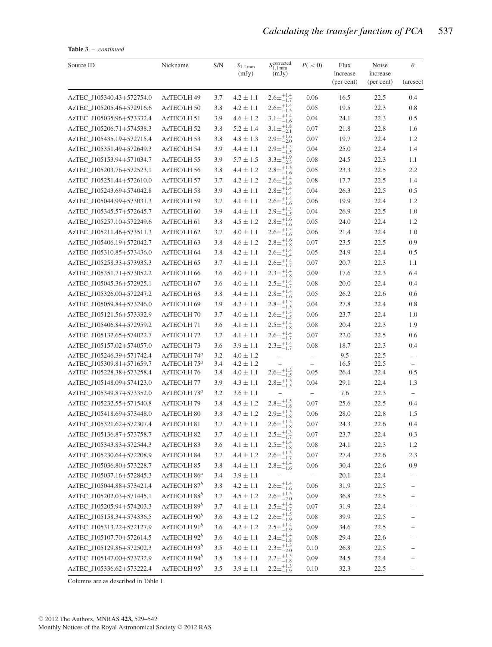**Table 3** – *continued*

| Source ID                 | Nickname                 | S/N | $S_{1.1 \text{ mm}}$<br>(mJy) | $S_{1.1\,\text{mm}}^{\text{corrected}}$<br>(mJy) | P(< 0)                   | Flux<br>increase<br>(per cent) | Noise<br>increase<br>(per cent) | $\theta$<br>(arcsec)     |
|---------------------------|--------------------------|-----|-------------------------------|--------------------------------------------------|--------------------------|--------------------------------|---------------------------------|--------------------------|
| AzTEC_J105340.43+572754.0 | AzTEC/LH 49              | 3.7 | $4.2 \pm 1.1$                 | $2.6\pm^{+1.4}_{-1.7}$                           | 0.06                     | 16.5                           | 22.5                            | 0.4                      |
| AzTEC_J105205.46+572916.6 | AzTEC/LH 50              | 3.8 | $4.2 \pm 1.1$                 | $2.6\pm^{+1.4}_{-1.5}$                           | 0.05                     | 19.5                           | 22.3                            | 0.8                      |
| AzTEC_J105035.96+573332.4 | AzTEC/LH 51              | 3.9 | $4.6 \pm 1.2$                 | $3.1\pm^{+1.4}_{-1.6}$                           | 0.04                     | 24.1                           | 22.3                            | 0.5                      |
| AzTEC_J105206.71+574538.3 | AzTEC/LH 52              | 3.8 | $5.2 \pm 1.4$                 | $3.1\pm^{+1.8}_{-2.1}$                           | 0.07                     | 21.8                           | 22.8                            | 1.6                      |
| AzTEC_J105435.19+572715.4 | AzTEC/LH 53              | 3.8 | $4.8 \pm 1.3$                 | $2.9\pm^{+1.6}_{-2.0}$                           | 0.07                     | 19.7                           | 22.4                            | 1.2                      |
| AzTEC_J105351.49+572649.3 | AzTEC/LH 54              | 3.9 | $4.4 \pm 1.1$                 | $2.9\pm^{+1.3}_{-1.5}$                           | 0.04                     | 25.0                           | 22.4                            | 1.4                      |
| AzTEC J105153.94+571034.7 | AzTEC/LH 55              | 3.9 | $5.7 \pm 1.5$                 | $3.3\pm^{+1.9}_{-2.3}$                           | 0.08                     | 24.5                           | 22.3                            | 1.1                      |
| AzTEC_J105203.76+572523.1 | AzTEC/LH 56              | 3.8 | $4.4 \pm 1.2$                 | $2.8\pm^{+1.5}_{-1.6}$                           | 0.05                     | 23.3                           | 22.5                            | 2.2                      |
| AzTEC_J105251.44+572610.0 | AzTEC/LH 57              | 3.7 | $4.2 \pm 1.2$                 | $2.6\pm^{+1.4}_{-1.8}$                           | 0.08                     | 17.7                           | 22.5                            | 1.4                      |
| AzTEC_J105243.69+574042.8 | AzTEC/LH 58              | 3.9 | $4.3 \pm 1.1$                 | $2.8\pm^{+1.4}_{-1.4}$                           | 0.04                     | 26.3                           | 22.5                            | 0.5                      |
| AzTEC_J105044.99+573031.3 | AzTEC/LH 59              | 3.7 | $4.1 \pm 1.1$                 | $2.6\pm^{+1.4}_{-1.6}$                           | 0.06                     | 19.9                           | 22.4                            | 1.2                      |
| AzTEC_J105345.57+572645.7 | AzTEC/LH 60              | 3.9 | $4.4 \pm 1.1$                 | $2.9 \pm {}^{+1.3}_{-1.5}$                       | 0.04                     | 26.9                           | 22.5                            | 1.0                      |
| AzTEC J105257.10+572249.6 | AzTEC/LH 61              | 3.8 | $4.5 \pm 1.2$                 | $2.8\pm^{+1.6}_{-1.6}$                           | 0.05                     | 24.0                           | 22.4                            | 1.2                      |
| AzTEC_J105211.46+573511.3 | AzTEC/LH 62              | 3.7 | $4.0 \pm 1.1$                 | $2.6\pm^{+1.3}_{-1.6}$                           | 0.06                     | 21.4                           | 22.4                            | 1.0                      |
| AzTEC_J105406.19+572042.7 | AzTEC/LH 63              | 3.8 | $4.6 \pm 1.2$                 | $2.8\pm^{+1.6}_{-1.8}$                           | 0.07                     | 23.5                           | 22.5                            | 0.9                      |
| AzTEC J105310.85+573436.0 | AzTEC/LH 64              | 3.8 | $4.2\pm1.1$                   | $2.6\pm^{+1.4}_{-1.4}$                           | 0.05                     | 24.9                           | 22.4                            | 0.5                      |
| AzTEC_J105258.33+573935.3 | AzTEC/LH 65              | 3.7 | $4.1 \pm 1.1$                 | $2.6\pm^{+1.4}_{-1.7}$                           | 0.07                     | 20.7                           | 22.3                            | 1.1                      |
| AzTEC_J105351.71+573052.2 | AzTEC/LH 66              | 3.6 | $4.0 \pm 1.1$                 | $2.3\pm^{+1.4}_{-1.8}$                           | 0.09                     | 17.6                           | 22.3                            | 6.4                      |
| AzTEC_J105045.36+572925.1 | AzTEC/LH 67              | 3.6 | $4.0 \pm 1.1$                 | $2.5\pm^{+1.4}_{-1.7}$                           | 0.08                     | 20.0                           | 22.4                            | 0.4                      |
| AzTEC_J105326.00+572247.2 | AzTEC/LH 68              | 3.8 | $4.4 \pm 1.1$                 | $2.8\pm^{+1.4}_{-1.6}$                           | 0.05                     | 26.2                           | 22.6                            | 0.6                      |
| AzTEC_J105059.84+573246.0 | AzTEC/LH 69              | 3.9 | $4.2 \pm 1.1$                 | $2.8\pm^{+1.3}_{-1.5}$                           | 0.04                     | 27.8                           | 22.4                            | 0.8                      |
| AzTEC_J105121.56+573332.9 | AzTEC/LH 70              | 3.7 | $4.0 \pm 1.1$                 | $2.6\pm^{+1.3}_{-1.5}$                           | 0.06                     | 23.7                           | 22.4                            | 1.0                      |
| AzTEC_J105406.84+572959.2 | AzTEC/LH 71              | 3.6 | $4.1 \pm 1.1$                 | $2.5\pm^{+1.4}_{-1.8}$                           | 0.08                     | 20.4                           | 22.3                            | 1.9                      |
| AzTEC_J105132.65+574022.7 | AzTEC/LH 72              | 3.7 | $4.1 \pm 1.1$                 | $2.6\pm^{+1.4}_{-1.7}$                           | 0.07                     | 22.0                           | 22.5                            | 0.6                      |
| AzTEC_J105157.02+574057.0 | AzTEC/LH 73              | 3.6 | $3.9 \pm 1.1$                 | $2.3\pm^{+1.4}_{-1.7}$                           | 0.08                     | 18.7                           | 22.3                            | 0.4                      |
| AzTEC_J105246.39+571742.4 | AzTEC/LH 74 <sup>a</sup> | 3.2 | $4.0 \pm 1.2$                 | $\overline{\phantom{0}}$                         | $\overline{\phantom{0}}$ | 9.5                            | 22.5                            | $\qquad \qquad -$        |
| AzTEC_J105309.81+571659.7 | AzTEC/LH 75 <sup>a</sup> | 3.4 | $4.2 \pm 1.2$                 |                                                  | $\overline{\phantom{a}}$ | 16.5                           | 22.5                            | $\overline{\phantom{0}}$ |
| AzTEC_J105228.38+573258.4 | AzTEC/LH 76              | 3.8 | $4.0 \pm 1.1$                 | $2.6\pm^{+1.3}_{-1.5}$                           | 0.05                     | 26.4                           | 22.4                            | 0.5                      |
| AzTEC_J105148.09+574123.0 | AzTEC/LH 77              | 3.9 | $4.3 \pm 1.1$                 | $2.8\pm^{+1.3}_{-1.5}$                           | 0.04                     | 29.1                           | 22.4                            | 1.3                      |
| AzTEC_J105349.87+573352.0 | AzTEC/LH 78 <sup>a</sup> | 3.2 | $3.6 \pm 1.1$                 |                                                  | $\overline{\phantom{a}}$ | 7.6                            | 22.3                            | $\overline{\phantom{0}}$ |
| AzTEC J105232.55+571540.8 | AzTEC/LH 79              | 3.8 | $4.5 \pm 1.2$                 | $2.8\pm^{+1.5}_{-1.8}$                           | 0.07                     | 25.6                           | 22.5                            | 0.4                      |
| AzTEC J105418.69+573448.0 | AzTEC/LH 80              | 3.8 | $4.7 \pm 1.2$                 | $2.9\pm^{+1.5}_{-1.8}$                           | 0.06                     | 28.0                           | 22.8                            | 1.5                      |
| AzTEC J105321.62+572307.4 | AzTEC/LH 81              | 3.7 | $4.2 \pm 1.1$                 | $2.6\pm^{+1.4}_{-1.8}$                           | 0.07                     | 24.3                           | 22.6                            | 0.4                      |
| AzTEC_J105136.87+573758.7 | AzTEC/LH 82              | 3.7 | $4.0 \pm 1.1$                 | $2.5\pm^{+1.3}_{-1.7}$                           | 0.07                     | 23.7                           | 22.4                            | 0.3                      |
| AzTEC_J105343.83+572544.3 | AzTEC/LH 83              | 3.6 | $4.1 \pm 1.1$                 | $2.5\pm^{+1.4}_{-1.8}$                           | 0.08                     | 24.1                           | 22.3                            | 1.2                      |
| AzTEC J105230.64+572208.9 | AzTEC/LH 84              | 3.7 | $4.4 \pm 1.2$                 | $2.6\pm^{+1.5}_{-1.7}$                           | 0.07                     | 27.4                           | 22.6                            | 2.3                      |
| AzTEC J105036.80+573228.7 | AzTEC/LH 85              | 3.8 | $4.4 \pm 1.1$                 | $2.8\pm^{+1.4}_{-1.6}$                           | 0.06                     | 30.4                           | 22.6                            | 0.9                      |
| AzTEC_J105037.16+572845.3 | AzTEC/LH 86 <sup>a</sup> | 3.4 | $3.9\pm1.1$                   |                                                  | $\overline{\phantom{a}}$ | 20.1                           | 22.4                            |                          |
| AzTEC_J105044.88+573421.4 | AzTEC/LH $87^b$          | 3.8 | $4.2 \pm 1.1$                 | $2.6\pm^{+1.4}_{-1.6}$                           | 0.06                     | 31.9                           | 22.5                            |                          |
| AzTEC_J105202.03+571445.1 | AzTEC/LH $88^b$          | 3.7 | $4.5 \pm 1.2$                 | $2.6\pm^{+1.5}_{-2.0}$                           | 0.09                     | 36.8                           | 22.5                            | $\qquad \qquad -$        |
| AzTEC_J105205.94+574203.3 | AzTEC/LH $89^b$          | 3.7 | $4.1 \pm 1.1$                 | $2.5\pm^{+1.4}_{-1.7}$                           | 0.07                     | 31.9                           | 22.4                            | $\qquad \qquad -$        |
| AzTEC_J105158.34+574336.5 | AzTEC/LH $90^b$          | 3.6 | $4.3 \pm 1.2$                 | $2.6\pm^{+1.5}_{-1.9}$                           | 0.08                     | 39.9                           | 22.5                            |                          |
| AzTEC J105313.22+572127.9 | AzTEC/LH $91^b$          | 3.6 | $4.2 \pm 1.2$                 | $2.5\pm^{+1.4}_{-1.9}$                           | 0.09                     | 34.6                           | 22.5                            | $\qquad \qquad -$        |
| AzTEC_J105107.70+572614.5 | AzTEC/LH $92^b$          | 3.6 | $4.0 \pm 1.1$                 | $2.4\pm^{+1.4}_{-1.8}$                           | 0.08                     | 29.4                           | 22.6                            | $\overline{\phantom{0}}$ |
| AzTEC_J105129.86+572502.3 | AzTEC/LH $93^b$          | 3.5 | $4.0 \pm 1.1$                 | $2.3\pm^{+1.3}_{-2.0}$                           | 0.10                     | 26.8                           | 22.5                            | $\qquad \qquad -$        |
| AzTEC_J105147.00+573732.9 | AzTEC/LH $94^b$          | 3.5 | $3.8 \pm 1.1$                 | $2.2\pm^{+1.3}_{-1.8}$                           | 0.09                     | 24.5                           | 22.4                            | $\qquad \qquad -$        |
| AzTEC_J105336.62+573222.4 | AzTEC/LH $95^b$          | 3.5 | $3.9 \pm 1.1$                 | $2.2\pm^{+1.3}_{-1.9}$                           | 0.10                     | 32.3                           | 22.5                            | $\qquad \qquad -$        |

Columns are as described in Table 1.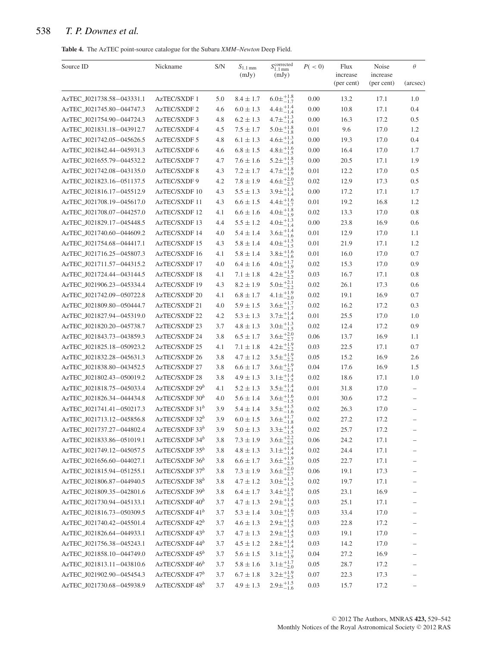| Source ID                 | Nickname          | S/N | $S_{1.1 \text{ mm}}$ | $S_{1.1\,\mathrm{mm}}^{\mathrm{corrected}}$ | P(< 0) | Flux       | Noise      | $\theta$                 |
|---------------------------|-------------------|-----|----------------------|---------------------------------------------|--------|------------|------------|--------------------------|
|                           |                   |     | (mJy)                | (mJy)                                       |        | increase   | increase   |                          |
|                           |                   |     |                      |                                             |        | (per cent) | (per cent) | (arcsec)                 |
| AzTEC_J021738.58-043331.1 | AzTEC/SXDF 1      | 5.0 | $8.4 \pm 1.7$        | $6.0\pm^{+1.8}_{-1.7}$                      | 0.00   | 13.2       | 17.1       | 1.0                      |
| AzTEC_J021745.80-044747.3 | AzTEC/SXDF 2      | 4.6 | $6.0 \pm 1.3$        | $4.4\pm^{+1.4}_{-1.4}$                      | 0.00   | 10.8       | 17.1       | 0.4                      |
| AzTEC_J021754.90-044724.3 | AzTEC/SXDF 3      | 4.8 | $6.2 \pm 1.3$        | $4.7\pm^{+1.3}_{-1.4}$                      | 0.00   | 16.3       | 17.2       | 0.5                      |
| AzTEC_J021831.18-043912.7 | AzTEC/SXDF 4      | 4.5 | $7.5 \pm 1.7$        | $5.0 \pm {}^{+1.8}_{-1.8}$                  | 0.01   | 9.6        | 17.0       | 1.2                      |
| AzTEC_J021742.05-045626.5 | AzTEC/SXDF 5      | 4.8 | $6.1 \pm 1.3$        | $4.6\pm^{+1.3}_{-1.4}$                      | 0.00   | 19.3       | 17.0       | 0.4                      |
| AzTEC_J021842.44-045931.3 | AzTEC/SXDF 6      | 4.6 | $6.8 \pm 1.5$        | $4.8\pm^{+1.6}_{-1.5}$                      | 0.00   | 16.4       | 17.0       | 1.7                      |
| AzTEC_J021655.79-044532.2 | AzTEC/SXDF 7      | 4.7 | $7.6 \pm 1.6$        | $5.2\pm^{+1.8}_{-1.7}$                      | 0.00   | 20.5       | 17.1       | 1.9                      |
| AzTEC_J021742.08-043135.0 | AzTEC/SXDF 8      | 4.3 | $7.2 \pm 1.7$        | $4.7\pm^{+1.8}_{-1.9}$                      | 0.01   | 12.2       | 17.0       | 0.5                      |
| AzTEC_J021823.16-051137.5 | AzTEC/SXDF 9      | 4.2 | $7.8 \pm 1.9$        | $4.6\pm^{+2.0}_{-2.3}$                      | 0.02   | 12.9       | 17.3       | 0.5                      |
| AzTEC_J021816.17-045512.9 | AzTEC/SXDF 10     | 4.3 | $5.5 \pm 1.3$        | $3.9 \pm {}^{+1.3}_{-1.4}$                  | 0.00   | 17.2       | 17.1       | 1.7                      |
| AzTEC_J021708.19-045617.0 | AzTEC/SXDF 11     | 4.3 | $6.6 \pm 1.5$        | $4.4\pm^{+1.6}_{-1.7}$                      | 0.01   | 19.2       | 16.8       | 1.2                      |
| AzTEC_J021708.07-044257.0 | AzTEC/SXDF 12     | 4.1 | $6.6 \pm 1.6$        | $4.0\pm^{+1.8}_{-1.9}$                      | 0.02   | 13.3       | 17.0       | 0.8                      |
| AzTEC J021829.17-045448.5 | AzTEC/SXDF 13     | 4.4 | $5.5 \pm 1.2$        | $4.0\pm^{+1.3}_{-1.4}$                      | 0.00   | 23.8       | 16.9       | 0.6                      |
| AzTEC_J021740.60-044609.2 | AzTEC/SXDF 14     | 4.0 | $5.4 \pm 1.4$        | $3.6\pm^{+1.4}_{-1.6}$                      | 0.01   | 12.9       | 17.0       | 1.1                      |
| AzTEC_J021754.68-044417.1 | AzTEC/SXDF 15     | 4.3 | $5.8 \pm 1.4$        | $4.0 \pm {}^{+1.5}_{-1.5}$                  | 0.01   | 21.9       | 17.1       | 1.2                      |
| AzTEC J021716.25-045807.3 | AzTEC/SXDF 16     | 4.1 | $5.8 \pm 1.4$        | $3.8\pm^{+1.6}_{-1.6}$                      | 0.01   | 16.0       | 17.0       | 0.7                      |
| AzTEC_J021711.57-044315.2 | AzTEC/SXDF 17     | 4.0 | $6.4 \pm 1.6$        | $4.0 \pm {}^{+1.7}_{-1.9}$                  | 0.02   | 15.3       | 17.0       | 0.9                      |
| AzTEC_J021724.44-043144.5 | AzTEC/SXDF 18     | 4.1 | $7.1 \pm 1.8$        | $4.2\pm^{+1.9}_{-2.2}$                      | 0.03   | 16.7       | 17.1       | 0.8                      |
| AzTEC_J021906.23-045334.4 | AzTEC/SXDF 19     | 4.3 | $8.2 \pm 1.9$        | $5.0 \pm {}^{+2.1}_{-2.2}$                  | 0.02   | 26.1       | 17.3       | 0.6                      |
| AzTEC J021742.09-050722.8 | AzTEC/SXDF 20     | 4.1 | $6.8 \pm 1.7$        | $4.1\pm^{+1.9}_{-2.0}$                      | 0.02   | 19.1       | 16.9       | 0.7                      |
| AzTEC_J021809.80-050444.7 | AzTEC/SXDF 21     | 4.0 | $5.9 \pm 1.5$        | $3.6\pm^{+1.7}_{-1.7}$                      | 0.02   | 16.2       | 17.2       | 0.3                      |
| AzTEC_J021827.94-045319.0 | AzTEC/SXDF 22     | 4.2 | $5.3 \pm 1.3$        | $3.7 \pm {}^{+1.4}_{-1.4}$                  | 0.01   | 25.5       | 17.0       | 1.0                      |
| AzTEC_J021820.20-045738.7 | AzTEC/SXDF 23     | 3.7 | $4.8 \pm 1.3$        | $3.0 \pm {}^{+1.3}_{-1.5}$                  | 0.02   | 12.4       | 17.2       | 0.9                      |
| AzTEC_J021843.73-043859.3 | AzTEC/SXDF 24     | 3.8 | $6.5 \pm 1.7$        | $3.6\pm^{+2.0}_{-2.7}$                      | 0.06   | 13.7       | 16.9       | 1.1                      |
| AzTEC_J021825.18-050923.2 | AzTEC/SXDF 25     | 4.1 | $7.1 \pm 1.8$        | $4.2\pm^{+1.9}_{-2.2}$                      | 0.03   | 22.5       | 17.1       | 0.7                      |
| AzTEC_J021832.28-045631.3 | AzTEC/SXDF 26     | 3.8 | $4.7 \pm 1.2$        | $3.5\pm^{+1.9}_{-2.2}$                      | 0.05   | 15.2       | 16.9       | 2.6                      |
| AzTEC_J021838.80-043452.5 | AzTEC/SXDF 27     | 3.8 | $6.6\pm1.7$          | $3.6\pm^{+1.9}_{-2.1}$                      | 0.04   | 17.6       | 16.9       | 1.5                      |
| AzTEC_J021802.43-050019.2 | AzTEC/SXDF 28     | 3.8 | $4.9 \pm 1.3$        | $3.1\pm^{+1.4}_{-1.5}$                      | 0.02   | 18.6       | 17.1       | 1.0                      |
| AzTEC_J021818.75-045033.4 | AzTEC/SXDF $29^b$ | 4.1 | $5.2 \pm 1.3$        | $3.5\pm^{+1.4}_{-1.4}$                      | 0.01   | 31.8       | 17.0       | $\overline{\phantom{0}}$ |
| AzTEC_J021826.34-044434.8 | AzTEC/SXDF $30b$  | 4.0 | $5.6 \pm 1.4$        | $3.6\pm^{+1.6}_{-1.5}$                      | 0.01   | 30.6       | 17.2       | $\overline{\phantom{0}}$ |
| AzTEC_J021741.41-050217.3 | AzTEC/SXDF $31^b$ | 3.9 | $5.4 \pm 1.4$        | $3.5\pm^{+1.5}_{-1.6}$                      | 0.02   | 26.3       | 17.0       | $\overline{\phantom{0}}$ |
| AzTEC_J021713.12-045856.8 | AzTEC/SXDF $32^b$ | 3.9 | $6.0 \pm 1.5$        | $3.6\pm^{+1.7}_{-1.8}$                      | 0.02   | 27.2       | 17.2       | $\qquad \qquad -$        |
| AzTEC_J021737.27-044802.4 | AzTEC/SXDF $33^b$ | 3.9 | $5.0 \pm 1.3$        | $3.3\pm^{+1.4}_{-1.5}$                      | 0.02   | 25.7       | 17.2       |                          |
| AzTEC_J021833.86-051019.1 | AzTEC/SXDF $34^b$ | 3.8 | $7.3 \pm 1.9$        | $3.6\pm^{+2.2}_{-2.5}$                      | 0.06   | 24.2       | 17.1       |                          |
| AzTEC_J021749.12-045057.5 | AzTEC/SXDF $35^b$ | 3.8 | $4.8 \pm 1.3$        | $3.1\pm^{+1.4}_{-1.4}$                      | 0.02   | 24.4       | 17.1       |                          |
| AzTEC_J021656.60-044027.1 | AzTEC/SXDF $36^b$ | 3.8 | $6.6 \pm 1.7$        | $3.6\pm^{+1.9}_{-2.3}$                      | 0.05   | 22.7       | 17.1       |                          |
| AzTEC_J021815.94-051255.1 | AzTEC/SXDF $37^b$ | 3.8 | $7.3 \pm 1.9$        | $3.6\pm^{+2.0}_{-2.7}$                      | 0.06   | 19.1       | 17.3       |                          |
| AzTEC_J021806.87-044940.5 | AzTEC/SXDF $38^b$ | 3.8 | $4.7 \pm 1.2$        | $3.0 \pm {}^{+1.3}_{-1.5}$                  | 0.02   | 19.7       | 17.1       |                          |
| AzTEC_J021809.35-042801.6 | AzTEC/SXDF $39b$  | 3.8 | $6.4 \pm 1.7$        | $3.4\pm^{+1.9}_{-2.1}$                      | 0.05   | 23.1       | 16.9       |                          |
| AzTEC_J021730.94-045133.1 | AzTEC/SXDF $40^b$ | 3.7 | $4.7 \pm 1.3$        | $2.9 \pm ^{+1.4}_{-1.5}$                    | 0.03   | 25.1       | 17.1       |                          |
| AzTEC_J021816.73-050309.5 | AzTEC/SXDF $41^b$ | 3.7 | $5.3 \pm 1.4$        | $3.0\pm^{+1.6}_{-1.7}$                      | 0.03   | 33.4       | 17.0       |                          |
| AzTEC_J021740.42-045501.4 | AzTEC/SXDF $42^b$ | 3.7 | $4.6 \pm 1.3$        | $2.9\pm^{+1.4}_{-1.5}$                      | 0.03   | 22.8       | 17.2       |                          |
| AzTEC_J021826.64-044933.1 | AzTEC/SXDF $43^b$ | 3.7 | $4.7 \pm 1.3$        | $2.9\pm^{+1.4}_{-1.5}$                      | 0.03   | 19.1       | 17.0       |                          |
| AzTEC_J021756.38-045243.1 | AzTEC/SXDF $44^b$ | 3.7 | $4.5 \pm 1.2$        | $2.8\pm^{+1.4}_{-1.4}$                      | 0.03   | 14.2       | 17.0       | $\overline{\phantom{0}}$ |
| AzTEC_J021858.10-044749.0 | AzTEC/SXDF $45^b$ | 3.7 | $5.6 \pm 1.5$        | $3.1\pm^{+1.7}_{-1.9}$                      | 0.04   | 27.2       | 16.9       |                          |
| AzTEC_J021813.11-043810.6 | AzTEC/SXDF $46^b$ | 3.7 | $5.8 \pm 1.6$        | $3.1\pm^{+1.7}_{-2.0}$                      | 0.05   | 28.7       | 17.2       |                          |
| AzTEC_J021902.90-045454.3 | AzTEC/SXDF $47^b$ | 3.7 | $6.7 \pm 1.8$        | $3.2\pm^{+1.9}_{-2.5}$                      | 0.07   | 22.3       | 17.3       |                          |
| AzTEC_J021730.68-045938.9 | AzTEC/SXDF $48^b$ | 3.7 | $4.9 \pm 1.3$        | $2.9\pm^{+1.5}_{-1.6}$                      | 0.03   | 15.7       | 17.2       | -                        |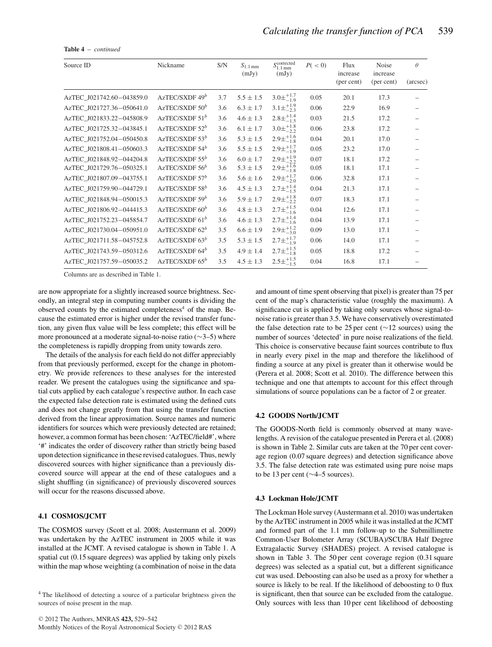**Table 4** – *continued*

| Source ID                 | Nickname          | S/N | $S_{1.1 \text{ mm}}$<br>(mJy) | $S_{1.1\,\text{mm}}^{\text{corrected}}$<br>(mJy) | P( <sub>0</sub> ) | Flux<br>increase | Noise<br>increase | $\theta$ |
|---------------------------|-------------------|-----|-------------------------------|--------------------------------------------------|-------------------|------------------|-------------------|----------|
|                           |                   |     |                               |                                                  |                   | (per cent)       | (per cent)        | (arcsec) |
| AzTEC_J021742.60-043859.0 | AzTEC/SXDF $49^b$ | 3.7 | $5.5 \pm 1.5$                 | $3.0\pm^{+1.7}_{-1.9}$                           | 0.05              | 20.1             | 17.3              |          |
| AzTEC_J021727.36-050641.0 | AzTEC/SXDF $50^b$ | 3.6 | $6.3 \pm 1.7$                 | $3.1\pm^{+1.9}_{-2.3}$                           | 0.06              | 22.9             | 16.9              |          |
| AzTEC J021833.22-045808.9 | AzTEC/SXDF $51^b$ | 3.6 | $4.6 \pm 1.3$                 | $2.8\pm^{+1.4}_{-1.5}$                           | 0.03              | 21.5             | 17.2              |          |
| AzTEC J021725.32-043845.1 | AzTEC/SXDF $52^b$ | 3.6 | $6.1 \pm 1.7$                 | $3.0\pm^{+1.8}_{-2.2}$                           | 0.06              | 23.8             | 17.2              |          |
| AzTEC J021752.04-050450.8 | AzTEC/SXDF $53^b$ | 3.6 | $5.3 \pm 1.5$                 | $2.9\pm^{+1.6}_{-1.8}$                           | 0.04              | 20.1             | 17.0              |          |
| AzTEC J021808.41-050603.3 | AzTEC/SXDF $54^b$ | 3.6 | $5.5 \pm 1.5$                 | $2.9\pm^{+1.7}_{-1.9}$                           | 0.05              | 23.2             | 17.0              |          |
| AzTEC J021848.92-044204.8 | AzTEC/SXDF $55^b$ | 3.6 | $6.0 \pm 1.7$                 | $2.9\pm^{+1.9}_{-2.2}$                           | 0.07              | 18.1             | 17.2              |          |
| AzTEC_J021729.76-050325.1 | AzTEC/SXDF $56^b$ | 3.6 | $5.3 \pm 1.5$                 | $2.9\pm^{+1.6}_{-1.8}$                           | 0.05              | 18.1             | 17.1              |          |
| AzTEC J021807.09-043755.1 | AzTEC/SXDF $57^b$ | 3.6 | $5.6 \pm 1.6$                 | $2.9\pm^{+1.7}_{-2.0}$                           | 0.06              | 32.8             | 17.1              |          |
| AzTEC J021759.90-044729.1 | AzTEC/SXDF $58^b$ | 3.6 | $4.5 \pm 1.3$                 | $2.7\pm^{+1.4}_{-1.5}$                           | 0.04              | 21.3             | 17.1              |          |
| AzTEC J021848.94-050015.3 | AzTEC/SXDF $59^b$ | 3.6 | $5.9 \pm 1.7$                 | $2.9\pm^{+1.8}_{-2.2}$                           | 0.07              | 18.3             | 17.1              |          |
| AzTEC_J021806.92-044415.3 | AzTEC/SXDF $60^b$ | 3.6 | $4.8 \pm 1.3$                 | $2.7\pm^{+1.5}_{-1.6}$                           | 0.04              | 12.6             | 17.1              |          |
| AzTEC_J021752.23-045854.7 | AzTEC/SXDF $61^b$ | 3.6 | $4.6 \pm 1.3$                 | $2.7\pm^{+1.4}_{-1.6}$                           | 0.04              | 13.9             | 17.1              |          |
| AzTEC_J021730.04-050951.0 | AzTEC/SXDF $62^b$ | 3.5 | $6.6 \pm 1.9$                 | $2.9\pm^{+1.2}_{-3.0}$                           | 0.09              | 13.0             | 17.1              |          |
| AzTEC J021711.58-045752.8 | AzTEC/SXDF $63^b$ | 3.5 | $5.3 \pm 1.5$                 | $2.7\pm^{+1.7}_{-1.9}$                           | 0.06              | 14.0             | 17.1              |          |
| AzTEC J021743.59-050312.6 | AzTEC/SXDF $64^b$ | 3.5 | $4.9 \pm 1.4$                 | $2.7\pm^{+1.5}_{-1.8}$                           | 0.05              | 18.8             | 17.2              |          |
| AzTEC J021757.59-050035.2 | AzTEC/SXDF $65^b$ | 3.5 | $4.5 \pm 1.3$                 | $2.5\pm^{+1.5}_{-1.5}$                           | 0.04              | 16.8             | 17.1              |          |

Columns are as described in Table 1.

are now appropriate for a slightly increased source brightness. Secondly, an integral step in computing number counts is dividing the observed counts by the estimated completeness<sup>4</sup> of the map. Because the estimated error is higher under the revised transfer function, any given flux value will be less complete; this effect will be more pronounced at a moderate signal-to-noise ratio (∼3–5) where the completeness is rapidly dropping from unity towards zero.

The details of the analysis for each field do not differ appreciably from that previously performed, except for the change in photometry. We provide references to these analyses for the interested reader. We present the catalogues using the significance and spatial cuts applied by each catalogue's respective author. In each case the expected false detection rate is estimated using the defined cuts and does not change greatly from that using the transfer function derived from the linear approximation. Source names and numeric identifiers for sources which were previously detected are retained; however, a common format has been chosen: 'AzTEC/field#', where '#' indicates the order of discovery rather than strictly being based upon detection significance in these revised catalogues. Thus, newly discovered sources with higher significance than a previously discovered source will appear at the end of these catalogues and a slight shuffling (in significance) of previously discovered sources will occur for the reasons discussed above.

### **4.1 COSMOS/JCMT**

The COSMOS survey (Scott et al. 2008; Austermann et al. 2009) was undertaken by the AzTEC instrument in 2005 while it was installed at the JCMT. A revised catalogue is shown in Table 1. A spatial cut (0.15 square degrees) was applied by taking only pixels within the map whose weighting (a combination of noise in the data

<sup>4</sup> The likelihood of detecting a source of a particular brightness given the sources of noise present in the map.

and amount of time spent observing that pixel) is greater than 75 per cent of the map's characteristic value (roughly the maximum). A significance cut is applied by taking only sources whose signal-tonoise ratio is greater than 3.5. We have conservatively overestimated the false detection rate to be 25 per cent (∼12 sources) using the number of sources 'detected' in pure noise realizations of the field. This choice is conservative because faint sources contribute to flux in nearly every pixel in the map and therefore the likelihood of finding a source at any pixel is greater than it otherwise would be (Perera et al. 2008; Scott et al. 2010). The difference between this technique and one that attempts to account for this effect through simulations of source populations can be a factor of 2 or greater.

#### **4.2 GOODS North/JCMT**

The GOODS-North field is commonly observed at many wavelengths. A revision of the catalogue presented in Perera et al. (2008) is shown in Table 2. Similar cuts are taken at the 70 per cent coverage region (0.07 square degrees) and detection significance above 3.5. The false detection rate was estimated using pure noise maps to be 13 per cent (∼4–5 sources).

#### **4.3 Lockman Hole/JCMT**

The Lockman Hole survey (Austermann et al. 2010) was undertaken by the AzTEC instrument in 2005 while it was installed at the JCMT and formed part of the 1.1 mm follow-up to the Submillimetre Common-User Bolometer Array (SCUBA)/SCUBA Half Degree Extragalactic Survey (SHADES) project. A revised catalogue is shown in Table 3. The 50 per cent coverage region (0.31 square degrees) was selected as a spatial cut, but a different significance cut was used. Deboosting can also be used as a proxy for whether a source is likely to be real. If the likelihood of deboosting to 0 flux is significant, then that source can be excluded from the catalogue. Only sources with less than 10 per cent likelihood of deboosting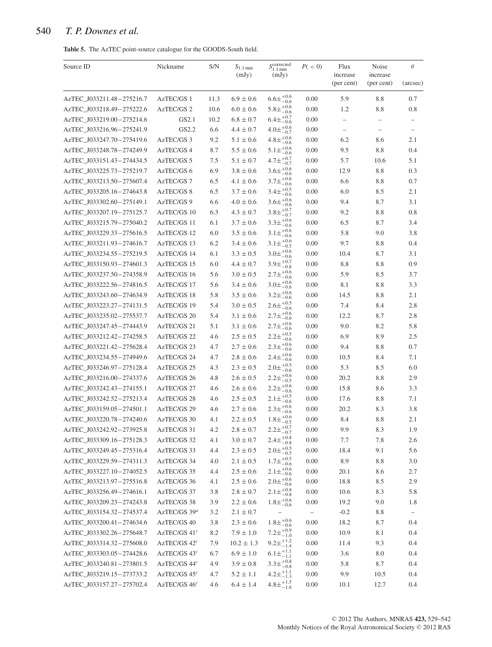| Source ID                 | Nickname                 | S/N  | $S_{1.1 \text{ mm}}$ | $S_{1.1\,\mathrm{mm}}^{\mathrm{corrected}}$ | P(< 0)                   | <b>Flux</b>              | Noise                    | $\theta$                 |
|---------------------------|--------------------------|------|----------------------|---------------------------------------------|--------------------------|--------------------------|--------------------------|--------------------------|
|                           |                          |      | (mJy)                | (mJy)                                       |                          | increase<br>(per cent)   | increase<br>(per cent)   | (arcsec)                 |
|                           |                          |      |                      |                                             |                          |                          |                          |                          |
| AzTEC_J033211.48-275216.7 | AzTEC/GS 1               | 11.3 | $6.9 \pm 0.6$        | $6.6\pm^{+0.6}_{-0.6}$                      | 0.00                     | 5.9                      | 8.8                      | 0.7                      |
| AzTEC_J033218.49-275222.6 | AzTEC/GS 2               | 10.6 | $6.0 \pm 0.6$        | $5.8\pm^{+0.6}_{-0.6}$                      | 0.00                     | 1.2                      | 8.8                      | 0.8                      |
| AzTEC J033219.00-275214.6 | GS2.1                    | 10.2 | $6.8 \pm 0.7$        | $6.4\pm^{+0.7}_{-0.6}$                      | 0.00                     | $\overline{\phantom{0}}$ | $\overline{\phantom{0}}$ | $\overline{\phantom{0}}$ |
| AzTEC_J033216.96-275241.9 | GS2.2                    | 6.6  | $4.4 \pm 0.7$        | $4.0\pm^{+0.6}_{-0.7}$                      | 0.00                     | $\overline{\phantom{0}}$ | $\overline{\phantom{0}}$ | $\overline{\phantom{0}}$ |
| AzTEC_J033247.70-275419.6 | AzTEC/GS 3               | 9.2  | $5.1 \pm 0.6$        | $\text{4.8}\pm^{+0.6}_{-0.6}$               | 0.00                     | 6.2                      | 8.6                      | 2.1                      |
| AzTEC J033248.78-274249.9 | AzTEC/GS 4               | 8.7  | $5.5 \pm 0.6$        | $5.1\pm^{+0.6}_{-0.6}$                      | 0.00                     | 9.5                      | 8.8                      | 0.4                      |
| AzTEC_J033151.43-274434.5 | AzTEC/GS 5               | 7.5  | $5.1 \pm 0.7$        | $4.7\pm^{+0.7}_{-0.7}$                      | 0.00                     | 5.7                      | 10.6                     | 5.1                      |
| AzTEC_J033225.73-275219.7 | AzTEC/GS 6               | 6.9  | $3.8 \pm 0.6$        | $3.6\pm^{+0.6}_{-0.6}$                      | 0.00                     | 12.9                     | 8.8                      | 0.3                      |
| AzTEC_J033213.50-275607.4 | AzTEC/GS 7               | 6.5  | $4.1 \pm 0.6$        | $3.7\pm^{+0.6}_{-0.6}$                      | 0.00                     | 6.6                      | 8.8                      | 0.7                      |
| AzTEC_J033205.16-274643.8 | AzTEC/GS 8               | 6.5  | $3.7 \pm 0.6$        | $3.4\pm^{+0.5}_{-0.6}$                      | 0.00                     | 6.0                      | 8.5                      | 2.1                      |
| AzTEC_J033302.60-275149.1 | AzTEC/GS 9               | 6.6  | $4.0 \pm 0.6$        | $3.6\pm^{+0.6}_{-0.6}$                      | 0.00                     | 9.4                      | 8.7                      | 3.1                      |
| AzTEC_J033207.19-275125.7 | AzTEC/GS 10              | 6.3  | $4.3 \pm 0.7$        | $3.8\pm^{+0.7}_{-0.7}$                      | $0.00\,$                 | 9.2                      | 8.8                      | 0.8                      |
| AzTEC J033215.79-275040.2 | AzTEC/GS 11              | 6.1  | $3.7 \pm 0.6$        | $3.3\pm^{+0.6}_{-0.6}$                      | 0.00                     | 6.5                      | 8.7                      | 3.4                      |
| AzTEC_J033229.33-275616.5 | AzTEC/GS 12              | 6.0  | $3.5 \pm 0.6$        | $3.1\pm^{+0.6}_{-0.6}$                      | 0.00                     | 5.8                      | 9.0                      | 3.8                      |
| AzTEC_J033211.93-274616.7 | AzTEC/GS 13              | 6.2  | $3.4 \pm 0.6$        | $3.1\pm^{+0.6}_{-0.5}$                      | 0.00                     | 9.7                      | 8.8                      | 0.4                      |
| AzTEC_J033234.55-275219.5 | AzTEC/GS 14              | 6.1  | $3.3 \pm 0.5$        | $3.0\pm^{+0.6}_{-0.6}$                      | 0.00                     | 10.4                     | 8.7                      | 3.1                      |
| AzTEC_J033150.93-274601.3 | AzTEC/GS 15              | 6.0  | $4.4 \pm 0.7$        | $3.9\pm^{+0.7}_{-0.8}$                      | 0.00                     | 8.8                      | 8.8                      | 0.9                      |
| AzTEC J033237.50-274358.9 | AzTEC/GS 16              | 5.6  | $3.0 \pm 0.5$        | $2.7\pm^{+0.6}_{0.6}$<br>$-0.6$             | 0.00                     | 5.9                      | 8.5                      | 3.7                      |
| AzTEC_J033222.56-274816.5 | AzTEC/GS 17              | 5.6  | $3.4 \pm 0.6$        | $3.0\pm^{+0.6}_{-0.6}$                      | 0.00                     | 8.1                      | 8.8                      | 3.3                      |
| AzTEC_J033243.60-274634.9 | AzTEC/GS 18              | 5.8  | $3.5 \pm 0.6$        | $3.2\pm^{+0.6}_{-0.6}$                      | 0.00                     | 14.5                     | 8.8                      | 2.1                      |
| AzTEC_J033223.27-274131.5 | AzTEC/GS 19              | 5.4  | $3.0 \pm 0.5$        | $2.6\pm^{+0.5}_{-0.6}$                      | 0.00                     | 7.4                      | 8.4                      | 2.8                      |
| AzTEC_J033235.02-275537.7 | AzTEC/GS 20              | 5.4  | $3.1 \pm 0.6$        | $2.7\pm^{+0.6}_{-0.6}$                      | 0.00                     | 12.2                     | 8.7                      | 2.8                      |
| AzTEC_J033247.45-274443.9 | AzTEC/GS 21              | 5.1  | $3.1 \pm 0.6$        | $2.7\pm^{+0.6}_{-0.6}$                      | 0.00                     | 9.0                      | 8.2                      | 5.8                      |
| AzTEC_J033212.42-274258.5 | AzTEC/GS 22              | 4.6  | $2.5 \pm 0.5$        | $2.2\pm^{+0.5}_{-0.6}$                      | 0.00                     | 6.9                      | 8.9                      | 2.5                      |
| AzTEC_J033221.42-275628.4 | AzTEC/GS 23              | 4.7  | $2.7 \pm 0.6$        | $2.3\pm^{+0.6}_{-0.6}$                      | 0.00                     | 9.4                      | 8.8                      | 0.7                      |
| AzTEC_J033234.55-274949.6 | AzTEC/GS 24              | 4.7  | $2.8 \pm 0.6$        | $2.4\pm^{+0.6}_{-0.6}$                      | 0.00                     | 10.5                     | 8.4                      | 7.1                      |
| AzTEC_J033246.97-275128.4 | AzTEC/GS 25              | 4.3  | $2.3 \pm 0.5$        | $2.0\pm^{+0.5}_{-0.6}$                      | 0.00                     | 5.3                      | 8.5                      | 6.0                      |
| AzTEC_J033216.00-274337.6 | AzTEC/GS 26              | 4.8  | $2.6 \pm 0.5$        | $2.2\pm^{+0.6}_{-0.5}$                      | 0.00                     | 20.2                     | 8.8                      | 2.9                      |
| AzTEC_J033242.43-274155.1 | AzTEC/GS 27              | 4.6  | $2.6 \pm 0.6$        | $2.2\pm^{+0.6}_{-0.6}$                      | 0.00                     | 15.8                     | 8.6                      | 3.3                      |
| AzTEC_J033242.52-275213.4 | AzTEC/GS 28              | 4.6  | $2.5 \pm 0.5$        | $2.1\pm^{+0.5}_{-0.6}$                      | 0.00                     | 17.6                     | 8.8                      | 7.1                      |
| AzTEC J033159.05-274501.1 | AzTEC/GS 29              | 4.6  | $2.7 \pm 0.6$        | $2.3\pm^{+0.6}_{-0.6}$                      | 0.00                     | 20.2                     | 8.3                      | 3.8                      |
| AzTEC_J033220.78-274240.6 | AzTEC/GS 30              | 4.1  | $2.2 \pm 0.5$        | $1.8\pm^{+0.6}_{-0.5}$                      | 0.00                     | 8.4                      | 8.8                      | 2.1                      |
| AzTEC_J033242.92-273925.8 | AzTEC/GS 31              | 4.2  | $2.8 \pm 0.7$        | $2.2\pm^{+0.7}_{-0.7}$                      | 0.00                     | 9.9                      | 8.3                      | 1.9                      |
| AzTEC_J033309.16-275128.3 | AzTEC/GS 32              | 4.1  | $3.0 \pm 0.7$        | $2.4\pm^{+0.8}_{-0.8}$                      | $0.00\,$                 | 7.7                      | 7.8                      | 2.6                      |
| AzTEC_J033249.45-275316.4 | AzTEC/GS 33              | 4.4  | $2.3 \pm 0.5$        | $2.0\pm^{+0.5}_{-0.5}$                      | $0.00\,$                 | 18.4                     | 9.1                      | 5.6                      |
| AzTEC_J033229.59-274311.3 | AzTEC/GS 34              | 4.0  | $2.1 \pm 0.5$        | $1.7\pm^{+0.5}_{-0.6}$                      | 0.00                     | 8.9                      | 8.8                      | 3.0                      |
| AzTEC_J033227.10-274052.5 | AzTEC/GS 35              | 4.4  | $2.5 \pm 0.6$        | $2.1\pm^{+0.6}_{-0.6}$                      | 0.00                     | 20.1                     | 8.6                      | 2.7                      |
| AzTEC J033213.97-275516.8 | AzTEC/GS 36              | 4.1  | $2.5\pm0.6$          | $2.0\pm^{+0.6}_{-0.6}$                      | $0.00\,$                 | 18.8                     | 8.5                      | 2.9                      |
| AzTEC_J033256.49-274616.1 | AzTEC/GS 37              | 3.8  | $2.8\pm0.7$          | $2.1\pm^{+0.8}_{-0.8}$                      | 0.00                     | 10.6                     | 8.3                      | 5.8                      |
| AzTEC J033209.23-274243.8 | AzTEC/GS 38              | 3.9  | $2.2 \pm 0.6$        | $1.8\pm^{+0.6}_{-0.6}$                      | $0.00\,$                 | 19.2                     | 9.0                      | 1.8                      |
| AzTEC_J033154.32-274537.4 | AzTEC/GS 39 <sup>a</sup> | 3.2  | $2.1\pm0.7$          |                                             | $\overline{\phantom{m}}$ | $-0.2$                   | 8.8                      |                          |
| AzTEC_J033200.41-274634.6 | AzTEC/GS 40              | 3.8  | $2.3 \pm 0.6$        | $1.8\pm^{+0.6}_{-0.6}$                      | $0.00\,$                 | 18.2                     | 8.7                      | 0.4                      |
| AzTEC_J033302.26-275648.7 | AzTEC/GS $41c$           | 8.2  | $7.9 \pm 1.0$        | $7.2\pm^{+0.9}_{-1.0}$                      | 0.00                     | 10.9                     | 8.1                      | 0.4                      |
| AzTEC_J033314.32-275608.0 | AzTEC/GS $42^c$          | 7.9  | $10.2 \pm 1.3$       | $9.2\pm^{+1.2}_{-1.4}$                      | 0.00                     | 11.4                     | 9.3                      | 0.4                      |
| AzTEC_J033303.05-274428.6 | AzTEC/GS $43c$           | 6.7  | $6.9 \pm 1.0$        | $6.1\pm^{+1.1}_{-1.1}$                      | $0.00\,$                 | 3.6                      | 8.0                      | 0.4                      |
| AzTEC_J033240.81-273801.5 | AzTEC/GS $44^c$          | 4.9  | $3.9 \pm 0.8$        | $3.3\pm^{+0.8}_{-0.8}$                      | 0.00                     | 5.8                      | 8.7                      | 0.4                      |
| AzTEC_J033219.15-273733.2 | AzTEC/GS $45c$           | 4.7  | $5.2 \pm 1.1$        | $4.2\pm^{+1.1}_{-1.3}$                      | $0.00\,$                 | 9.9                      | 10.5                     | 0.4                      |
| AzTEC_J033157.27-275702.4 | AzTEC/GS $46c$           | 4.6  | $6.4 \pm 1.4$        | $4.8\pm^{+1.5}_{-1.6}$                      | $0.00\,$                 | 10.1                     | 12.7                     | 0.4                      |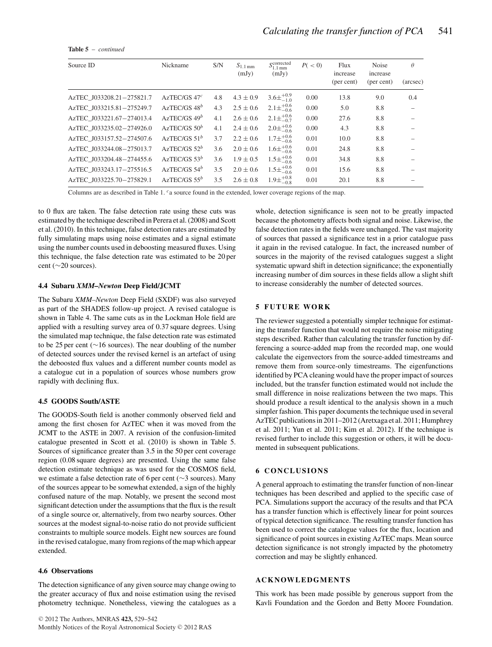| Source ID                 | Nickname                 | S/N | $S_{1.1 \text{ mm}}$<br>(mJy) | $S_{1.1\,\mathrm{mm}}^{\mathrm{corrected}}$<br>(mJy) | P( <sub>0</sub> ) | Flux<br>increase | <b>Noise</b><br>increase | $\theta$ |
|---------------------------|--------------------------|-----|-------------------------------|------------------------------------------------------|-------------------|------------------|--------------------------|----------|
|                           |                          |     |                               |                                                      |                   | (per cent)       | (per cent)               | (arcsec) |
| AzTEC J033208.21-275821.7 | AzTEC/GS $47c$           | 4.8 | $4.3 \pm 0.9$                 | $3.6\pm^{+0.9}_{-1.0}$                               | 0.00              | 13.8             | 9.0                      | 0.4      |
| AzTEC J033215.81-275249.7 | AzTEC/GS 48 <sup>b</sup> | 4.3 | $2.5 \pm 0.6$                 | $2.1\pm^{+0.6}_{-0.6}$                               | 0.00              | 5.0              | 8.8                      |          |
| AzTEC J033221.67-274013.4 | AzTEC/GS 49 <sup>b</sup> | 4.1 | $2.6 \pm 0.6$                 | $2.1\pm^{+0.6}_{-0.7}$                               | 0.00              | 27.6             | 8.8                      |          |
| AzTEC J033235.02-274926.0 | AzTEC/GS $50^b$          | 4.1 | $2.4 \pm 0.6$                 | $2.0\pm^{+0.6}_{-0.6}$                               | 0.00              | 4.3              | 8.8                      |          |
| AzTEC J033157.52-274507.6 | AzTEC/GS $51^b$          | 3.7 | $2.2 \pm 0.6$                 | $1.7\pm^{+0.6}_{-0.6}$                               | 0.01              | 10.0             | 8.8                      |          |
| AzTEC J033244.08-275013.7 | AzTEC/GS $52^b$          | 3.6 | $2.0 \pm 0.6$                 | $1.6\pm^{+0.6}_{-0.6}$                               | 0.01              | 24.8             | 8.8                      |          |
| AzTEC J033204.48-274455.6 | AzTEC/GS $53^b$          | 3.6 | $1.9 \pm 0.5$                 | $1.5\pm^{+0.6}_{-0.6}$                               | 0.01              | 34.8             | 8.8                      |          |
| AzTEC J033243.17-275516.5 | AzTEC/GS $54^b$          | 3.5 | $2.0 \pm 0.6$                 | $1.5\pm^{+0.6}_{-0.6}$                               | 0.01              | 15.6             | 8.8                      |          |
| AzTEC J033225.70-275829.1 | AzTEC/GS $55^b$          | 3.5 | $2.6 \pm 0.8$                 | $1.9\pm^{+0.8}_{-0.8}$                               | 0.01              | 20.1             | 8.8                      |          |

Columns are as described in Table 1. *<sup>c</sup>*a source found in the extended, lower coverage regions of the map.

to 0 flux are taken. The false detection rate using these cuts was estimated by the technique described in Perera et al. (2008) and Scott et al. (2010). In this technique, false detection rates are estimated by fully simulating maps using noise estimates and a signal estimate using the number counts used in deboosting measured fluxes. Using this technique, the false detection rate was estimated to be 20 per cent (∼20 sources).

#### **4.4 Subaru** *XMM–Newton* **Deep Field/JCMT**

**Table 5** – *continued*

The Subaru *XMM–Newton* Deep Field (SXDF) was also surveyed as part of the SHADES follow-up project. A revised catalogue is shown in Table 4. The same cuts as in the Lockman Hole field are applied with a resulting survey area of 0.37 square degrees. Using the simulated map technique, the false detection rate was estimated to be 25 per cent (∼16 sources). The near doubling of the number of detected sources under the revised kernel is an artefact of using the deboosted flux values and a different number counts model as a catalogue cut in a population of sources whose numbers grow rapidly with declining flux.

#### **4.5 GOODS South/ASTE**

The GOODS-South field is another commonly observed field and among the first chosen for AzTEC when it was moved from the JCMT to the ASTE in 2007. A revision of the confusion-limited catalogue presented in Scott et al. (2010) is shown in Table 5. Sources of significance greater than 3.5 in the 50 per cent coverage region (0.08 square degrees) are presented. Using the same false detection estimate technique as was used for the COSMOS field, we estimate a false detection rate of 6 per cent (∼3 sources). Many of the sources appear to be somewhat extended, a sign of the highly confused nature of the map. Notably, we present the second most significant detection under the assumptions that the flux is the result of a single source or, alternatively, from two nearby sources. Other sources at the modest signal-to-noise ratio do not provide sufficient constraints to multiple source models. Eight new sources are found in the revised catalogue, many from regions of the map which appear extended.

#### **4.6 Observations**

The detection significance of any given source may change owing to the greater accuracy of flux and noise estimation using the revised photometry technique. Nonetheless, viewing the catalogues as a whole, detection significance is seen not to be greatly impacted because the photometry affects both signal and noise. Likewise, the false detection rates in the fields were unchanged. The vast majority of sources that passed a significance test in a prior catalogue pass it again in the revised catalogue. In fact, the increased number of sources in the majority of the revised catalogues suggest a slight systematic upward shift in detection significance; the exponentially increasing number of dim sources in these fields allow a slight shift to increase considerably the number of detected sources.

### **5 FUTURE WORK**

The reviewer suggested a potentially simpler technique for estimating the transfer function that would not require the noise mitigating steps described. Rather than calculating the transfer function by differencing a source-added map from the recorded map, one would calculate the eigenvectors from the source-added timestreams and remove them from source-only timestreams. The eigenfunctions identified by PCA cleaning would have the proper impact of sources included, but the transfer function estimated would not include the small difference in noise realizations between the two maps. This should produce a result identical to the analysis shown in a much simpler fashion. This paper documents the technique used in several AzTEC publications in 2011–2012 (Aretxaga et al. 2011; Humphrey et al. 2011; Yun et al. 2011; Kim et al. 2012). If the technique is revised further to include this suggestion or others, it will be documented in subsequent publications.

#### **6 CONCLUSIONS**

A general approach to estimating the transfer function of non-linear techniques has been described and applied to the specific case of PCA. Simulations support the accuracy of the results and that PCA has a transfer function which is effectively linear for point sources of typical detection significance. The resulting transfer function has been used to correct the catalogue values for the flux, location and significance of point sources in existing AzTEC maps. Mean source detection significance is not strongly impacted by the photometry correction and may be slightly enhanced.

#### **ACKNOWLEDGMENTS**

This work has been made possible by generous support from the Kavli Foundation and the Gordon and Betty Moore Foundation.